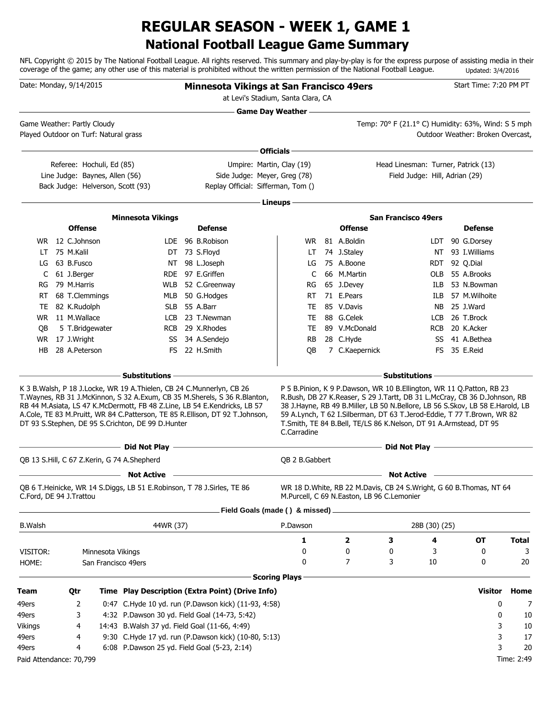## **National Football League Game Summary REGULAR SEASON - WEEK 1, GAME 1**

NFL Copyright © 2015 by The National Football League. All rights reserved. This summary and play-by-play is for the express purpose of assisting media in their coverage of the game; any other use of this material is prohibited without the written permission of the National Football League. Updated: 3/4/2016

|                | Date: Monday, 9/14/2015                                              |                     |                                                                                                                               | <b>Minnesota Vikings at San Francisco 49ers</b>                                                                                                                                                                                             |                      |                                                                                                                                                                                                                                                                                                                                                                                       |                                                    |    |                                   | Start Time: 7:20 PM PT |              |
|----------------|----------------------------------------------------------------------|---------------------|-------------------------------------------------------------------------------------------------------------------------------|---------------------------------------------------------------------------------------------------------------------------------------------------------------------------------------------------------------------------------------------|----------------------|---------------------------------------------------------------------------------------------------------------------------------------------------------------------------------------------------------------------------------------------------------------------------------------------------------------------------------------------------------------------------------------|----------------------------------------------------|----|-----------------------------------|------------------------|--------------|
|                |                                                                      |                     |                                                                                                                               | at Levi's Stadium, Santa Clara, CA                                                                                                                                                                                                          |                      |                                                                                                                                                                                                                                                                                                                                                                                       |                                                    |    |                                   |                        |              |
|                |                                                                      |                     |                                                                                                                               |                                                                                                                                                                                                                                             |                      |                                                                                                                                                                                                                                                                                                                                                                                       |                                                    |    |                                   |                        |              |
|                | Game Weather: Partly Cloudy<br>Played Outdoor on Turf: Natural grass |                     |                                                                                                                               |                                                                                                                                                                                                                                             |                      |                                                                                                                                                                                                                                                                                                                                                                                       | Temp: 70° F (21.1° C) Humidity: 63%, Wind: S 5 mph |    | Outdoor Weather: Broken Overcast. |                        |              |
|                |                                                                      |                     |                                                                                                                               |                                                                                                                                                                                                                                             | Officials -          |                                                                                                                                                                                                                                                                                                                                                                                       |                                                    |    |                                   |                        |              |
|                |                                                                      |                     |                                                                                                                               |                                                                                                                                                                                                                                             |                      |                                                                                                                                                                                                                                                                                                                                                                                       | Head Linesman: Turner, Patrick (13)                |    |                                   |                        |              |
|                | Referee: Hochuli, Ed (85)<br>Line Judge: Baynes, Allen (56)          |                     |                                                                                                                               | Umpire: Martin, Clay (19)<br>Side Judge: Meyer, Greg (78)                                                                                                                                                                                   |                      |                                                                                                                                                                                                                                                                                                                                                                                       | Field Judge: Hill, Adrian (29)                     |    |                                   |                        |              |
|                | Back Judge: Helverson, Scott (93)                                    |                     |                                                                                                                               | Replay Official: Sifferman, Tom ()                                                                                                                                                                                                          |                      |                                                                                                                                                                                                                                                                                                                                                                                       |                                                    |    |                                   |                        |              |
|                |                                                                      |                     |                                                                                                                               |                                                                                                                                                                                                                                             | Lineups-             |                                                                                                                                                                                                                                                                                                                                                                                       |                                                    |    |                                   |                        |              |
|                |                                                                      |                     |                                                                                                                               |                                                                                                                                                                                                                                             |                      |                                                                                                                                                                                                                                                                                                                                                                                       | <b>San Francisco 49ers</b>                         |    |                                   |                        |              |
|                | <b>Offense</b>                                                       |                     | <b>Minnesota Vikings</b>                                                                                                      | <b>Defense</b>                                                                                                                                                                                                                              |                      | <b>Offense</b>                                                                                                                                                                                                                                                                                                                                                                        |                                                    |    |                                   | <b>Defense</b>         |              |
|                | WR 12 C.Johnson                                                      |                     |                                                                                                                               | LDE 96 B.Robison                                                                                                                                                                                                                            |                      | WR 81 A.Boldin                                                                                                                                                                                                                                                                                                                                                                        |                                                    |    | LDT 90 G.Dorsey                   |                        |              |
|                | LT 75 M.Kalil                                                        |                     |                                                                                                                               | DT 73 S.Floyd                                                                                                                                                                                                                               | LT.                  | 74 J.Staley                                                                                                                                                                                                                                                                                                                                                                           |                                                    |    | NT 93 I. Williams                 |                        |              |
|                | LG 63 B.Fusco                                                        |                     |                                                                                                                               | NT 98 L.Joseph                                                                                                                                                                                                                              | LG                   | 75 A.Boone                                                                                                                                                                                                                                                                                                                                                                            |                                                    |    | RDT 92 Q.Dial                     |                        |              |
|                | C 61 J.Berger                                                        |                     |                                                                                                                               | RDE 97 E.Griffen                                                                                                                                                                                                                            | C                    | 66 M.Martin                                                                                                                                                                                                                                                                                                                                                                           |                                                    |    | OLB 55 A.Brooks                   |                        |              |
|                | RG 79 M.Harris                                                       |                     |                                                                                                                               | WLB 52 C.Greenway                                                                                                                                                                                                                           | RG                   | 65 J.Devey                                                                                                                                                                                                                                                                                                                                                                            |                                                    |    | ILB 53 N.Bowman                   |                        |              |
|                | RT 68 T.Clemmings                                                    |                     |                                                                                                                               | MLB 50 G.Hodges                                                                                                                                                                                                                             | RT.                  | 71 E.Pears                                                                                                                                                                                                                                                                                                                                                                            |                                                    |    | ILB 57 M. Wilhoite                |                        |              |
|                | TE 82 K.Rudolph                                                      |                     |                                                                                                                               | SLB 55 A.Barr                                                                                                                                                                                                                               | TE                   | 85 V.Davis                                                                                                                                                                                                                                                                                                                                                                            |                                                    |    | NB 25 J.Ward                      |                        |              |
|                | WR 11 M.Wallace                                                      |                     |                                                                                                                               | LCB 23 T.Newman                                                                                                                                                                                                                             | TE                   | 88 G.Celek                                                                                                                                                                                                                                                                                                                                                                            |                                                    |    | LCB 26 T.Brock                    |                        |              |
| QB             | 5 T.Bridgewater                                                      |                     |                                                                                                                               | RCB 29 X.Rhodes                                                                                                                                                                                                                             | TE                   | 89 V.McDonald                                                                                                                                                                                                                                                                                                                                                                         |                                                    |    | RCB 20 K.Acker                    |                        |              |
|                | WR 17 J.Wright                                                       |                     |                                                                                                                               | SS 34 A.Sendejo                                                                                                                                                                                                                             | <b>RB</b>            | 28 C.Hyde                                                                                                                                                                                                                                                                                                                                                                             |                                                    |    | SS 41 A.Bethea                    |                        |              |
| HB             | 28 A.Peterson                                                        |                     |                                                                                                                               | FS 22 H.Smith                                                                                                                                                                                                                               | QB                   | 7 C.Kaepernick                                                                                                                                                                                                                                                                                                                                                                        |                                                    |    | FS 35 E.Reid                      |                        |              |
|                |                                                                      |                     | – Substitutions –                                                                                                             |                                                                                                                                                                                                                                             |                      |                                                                                                                                                                                                                                                                                                                                                                                       | $-$ Substitutions -                                |    |                                   |                        |              |
|                |                                                                      |                     | K 3 B. Walsh, P 18 J. Locke, WR 19 A. Thielen, CB 24 C. Munnerlyn, CB 26<br>DT 93 S.Stephen, DE 95 S.Crichton, DE 99 D.Hunter | T. Waynes, RB 31 J. McKinnon, S 32 A. Exum, CB 35 M. Sherels, S 36 R. Blanton,<br>RB 44 M.Asiata, LS 47 K.McDermott, FB 48 Z.Line, LB 54 E.Kendricks, LB 57<br>A.Cole, TE 83 M.Pruitt, WR 84 C.Patterson, TE 85 R.Ellison, DT 92 T.Johnson, | C.Carradine          | P 5 B. Pinion, K 9 P. Dawson, WR 10 B. Ellington, WR 11 Q. Patton, RB 23<br>R.Bush, DB 27 K.Reaser, S 29 J.Tartt, DB 31 L.McCray, CB 36 D.Johnson, RB<br>38 J.Hayne, RB 49 B.Miller, LB 50 N.Bellore, LB 56 S.Skov, LB 58 E.Harold, LB<br>59 A.Lynch, T 62 I.Silberman, DT 63 T.Jerod-Eddie, T 77 T.Brown, WR 82<br>T.Smith, TE 84 B.Bell, TE/LS 86 K.Nelson, DT 91 A.Armstead, DT 95 |                                                    |    |                                   |                        |              |
|                |                                                                      |                     |                                                                                                                               | <u>Did Not Play and the Community of the Community of the Community of the Community of the Community of the Community of the Community of the Community of the Community of the Community of the Community of the Community of </u>        |                      |                                                                                                                                                                                                                                                                                                                                                                                       | Did Not Play <u>- Alexander Communication</u>      |    |                                   |                        |              |
|                |                                                                      |                     | QB 13 S.Hill, C 67 Z.Kerin, G 74 A.Shepherd                                                                                   |                                                                                                                                                                                                                                             | QB 2 B.Gabbert       |                                                                                                                                                                                                                                                                                                                                                                                       |                                                    |    |                                   |                        |              |
|                |                                                                      |                     | <b>Not Active</b>                                                                                                             |                                                                                                                                                                                                                                             |                      |                                                                                                                                                                                                                                                                                                                                                                                       | Not Active –                                       |    |                                   |                        |              |
|                | C.Ford, DE 94 J.Trattou                                              |                     | QB 6 T.Heinicke, WR 14 S.Diggs, LB 51 E.Robinson, T 78 J.Sirles, TE 86                                                        |                                                                                                                                                                                                                                             |                      | WR 18 D.White, RB 22 M.Davis, CB 24 S.Wright, G 60 B.Thomas, NT 64<br>M.Purcell, C 69 N.Easton, LB 96 C.Lemonier                                                                                                                                                                                                                                                                      |                                                    |    |                                   |                        |              |
|                |                                                                      |                     |                                                                                                                               | Field Goals (made () & missed) _                                                                                                                                                                                                            |                      |                                                                                                                                                                                                                                                                                                                                                                                       |                                                    |    |                                   |                        |              |
| <b>B.Walsh</b> |                                                                      |                     | 44WR (37)                                                                                                                     |                                                                                                                                                                                                                                             | P.Dawson             |                                                                                                                                                                                                                                                                                                                                                                                       | 28B (30) (25)                                      |    |                                   |                        |              |
|                |                                                                      |                     |                                                                                                                               |                                                                                                                                                                                                                                             | 1                    | 2                                                                                                                                                                                                                                                                                                                                                                                     | 3                                                  | 4  |                                   | ОT                     | <b>Total</b> |
| VISITOR:       |                                                                      | Minnesota Vikings   |                                                                                                                               |                                                                                                                                                                                                                                             | 0                    | 0                                                                                                                                                                                                                                                                                                                                                                                     | 0                                                  | 3  |                                   | 0                      | 3            |
| HOME:          |                                                                      | San Francisco 49ers |                                                                                                                               |                                                                                                                                                                                                                                             | 0                    | 7                                                                                                                                                                                                                                                                                                                                                                                     | 3                                                  | 10 |                                   | 0                      | 20           |
|                |                                                                      |                     |                                                                                                                               |                                                                                                                                                                                                                                             | <b>Scoring Plays</b> |                                                                                                                                                                                                                                                                                                                                                                                       |                                                    |    |                                   |                        |              |
| <b>Team</b>    | Qtr                                                                  |                     |                                                                                                                               | Time Play Description (Extra Point) (Drive Info)                                                                                                                                                                                            |                      |                                                                                                                                                                                                                                                                                                                                                                                       |                                                    |    |                                   | Visitor                | Home         |
| 49ers          | 2                                                                    |                     |                                                                                                                               | 0:47 C.Hyde 10 yd. run (P.Dawson kick) (11-93, 4:58)                                                                                                                                                                                        |                      |                                                                                                                                                                                                                                                                                                                                                                                       |                                                    |    |                                   | 0                      | 7            |
| 49ers          | 3                                                                    |                     |                                                                                                                               | 4:32 P.Dawson 30 yd. Field Goal (14-73, 5:42)                                                                                                                                                                                               |                      |                                                                                                                                                                                                                                                                                                                                                                                       |                                                    |    |                                   | 0                      | 10           |
| Vikings        | 4                                                                    |                     | 14:43 B. Walsh 37 yd. Field Goal (11-66, 4:49)                                                                                |                                                                                                                                                                                                                                             |                      |                                                                                                                                                                                                                                                                                                                                                                                       |                                                    |    |                                   | 3                      | 10           |
| 49ers          | 4                                                                    |                     |                                                                                                                               | 9:30 C.Hyde 17 yd. run (P.Dawson kick) (10-80, 5:13)                                                                                                                                                                                        |                      |                                                                                                                                                                                                                                                                                                                                                                                       |                                                    |    |                                   | 3                      | 17           |
| 49ers          | 4                                                                    |                     | 6:08 P.Dawson 25 yd. Field Goal (5-23, 2:14)                                                                                  |                                                                                                                                                                                                                                             |                      |                                                                                                                                                                                                                                                                                                                                                                                       |                                                    |    |                                   | 3                      | 20           |
|                | Paid Attendance: 70,799                                              |                     |                                                                                                                               |                                                                                                                                                                                                                                             |                      |                                                                                                                                                                                                                                                                                                                                                                                       |                                                    |    |                                   |                        | Time: 2:49   |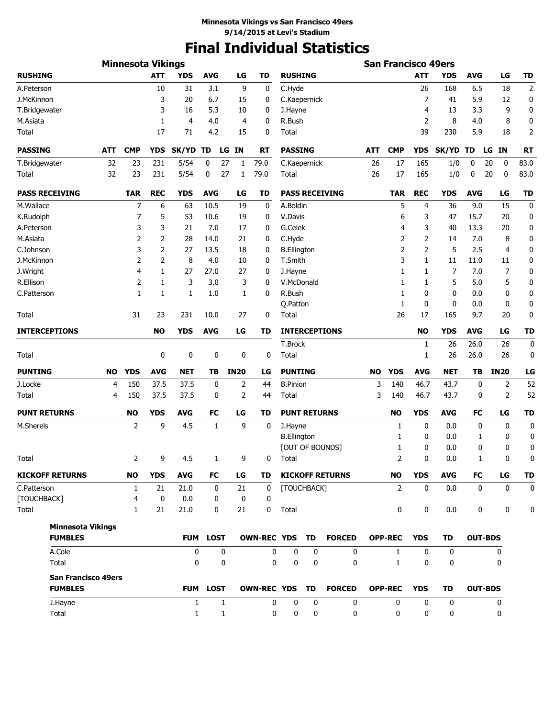# **Final Individual Statistics**

|                            |           | <b>Minnesota Vikings</b> |             |                |                 |                |                    |                     |           |                                                                                                                                                                                                                                                                                                                                                                                                                                                                                                                                                                                                                                                                                                                                                                                                                                                                                                                                                                                                                                                                                                                                                                                                                                                                                                                                                                                                                                                                                                                                                 |   |            |            |            |    |                |
|----------------------------|-----------|--------------------------|-------------|----------------|-----------------|----------------|--------------------|---------------------|-----------|-------------------------------------------------------------------------------------------------------------------------------------------------------------------------------------------------------------------------------------------------------------------------------------------------------------------------------------------------------------------------------------------------------------------------------------------------------------------------------------------------------------------------------------------------------------------------------------------------------------------------------------------------------------------------------------------------------------------------------------------------------------------------------------------------------------------------------------------------------------------------------------------------------------------------------------------------------------------------------------------------------------------------------------------------------------------------------------------------------------------------------------------------------------------------------------------------------------------------------------------------------------------------------------------------------------------------------------------------------------------------------------------------------------------------------------------------------------------------------------------------------------------------------------------------|---|------------|------------|------------|----|----------------|
| <b>RUSHING</b>             |           |                          | <b>ATT</b>  | <b>YDS</b>     | <b>AVG</b>      | LG             | <b>TD</b>          | <b>RUSHING</b>      |           |                                                                                                                                                                                                                                                                                                                                                                                                                                                                                                                                                                                                                                                                                                                                                                                                                                                                                                                                                                                                                                                                                                                                                                                                                                                                                                                                                                                                                                                                                                                                                 |   | <b>ATT</b> | <b>YDS</b> | <b>AVG</b> | LG | <b>TD</b>      |
| A.Peterson                 |           |                          | 10          | 31             | 3.1             | 9              | 0                  | C.Hyde              |           |                                                                                                                                                                                                                                                                                                                                                                                                                                                                                                                                                                                                                                                                                                                                                                                                                                                                                                                                                                                                                                                                                                                                                                                                                                                                                                                                                                                                                                                                                                                                                 |   | 26         | 168        | 6.5        | 18 | $\overline{2}$ |
| J.McKinnon                 |           |                          | 3           | 20             | 6.7             | 15             | 0                  | C.Kaepernick        |           |                                                                                                                                                                                                                                                                                                                                                                                                                                                                                                                                                                                                                                                                                                                                                                                                                                                                                                                                                                                                                                                                                                                                                                                                                                                                                                                                                                                                                                                                                                                                                 |   | 7          | 41         | 5.9        | 12 | 0              |
| T.Bridgewater              |           |                          | 3           | 16             | 5.3             | 10             | 0                  | J.Hayne             |           |                                                                                                                                                                                                                                                                                                                                                                                                                                                                                                                                                                                                                                                                                                                                                                                                                                                                                                                                                                                                                                                                                                                                                                                                                                                                                                                                                                                                                                                                                                                                                 |   | 4          | 13         | 3.3        | 9  | 0              |
| M.Asiata                   |           |                          | 1           | $\overline{4}$ | 4.0             | $\overline{4}$ | 0                  | R.Bush              |           | <b>San Francisco 49ers</b><br>2<br>8<br>8<br>4.0<br>39<br>230<br>5.9<br>18<br><b>CMP</b><br><b>SK/YD</b><br>IN<br>ATT<br><b>YDS</b><br>LG<br>TD<br>26<br>17<br>165<br>1/0<br>0<br>20<br>0<br>26<br>17<br>165<br>1/0<br>0<br>20<br>0<br><b>PASS RECEIVING</b><br><b>TAR</b><br><b>REC</b><br><b>YDS</b><br><b>AVG</b><br>LG<br>5<br>36<br>9.0<br>15<br>4<br>6<br>3<br>47<br>15.7<br>20<br>3<br>13.3<br>4<br>40<br>20<br>2<br>2<br>7.0<br>8<br>14<br>2<br>2<br>5<br>2.5<br>$\overline{4}$<br>3<br>1<br>11.0<br>11<br>11<br>$\overline{7}$<br>7.0<br>1<br>7<br>1<br>5<br>5<br>5.0<br>1<br>1<br>1<br>0<br>0<br>0<br>0.0<br>1<br>0<br>0<br>0<br>0.0<br>26<br>17<br>165<br>9.7<br>20<br><b>INTERCEPTIONS</b><br><b>NO</b><br><b>YDS</b><br><b>AVG</b><br>LG<br>26<br>26.0<br>26<br>1<br>26<br>26.0<br>26<br>1<br><b>NET</b><br><b>IN20</b><br><b>NO</b><br><b>YDS</b><br><b>AVG</b><br>TВ<br>3<br>46.7<br>43.7<br>0<br>2<br>140<br>$\overline{2}$<br>3<br>46.7<br>43.7<br>140<br>0<br><b>YDS</b><br><b>AVG</b><br><b>NO</b><br>FC<br>LG<br>0<br>0<br>1<br>0.0<br>0<br>0<br>0.0<br>0<br>1<br>1<br>[OUT OF BOUNDS]<br>0<br>0.0<br>0<br>1<br>0<br>2<br>0<br>0.0<br>0<br>1<br><b>YDS</b><br><b>AVG</b><br><b>KICKOFF RETURNS</b><br><b>NO</b><br>FC<br>LG<br>$\overline{2}$<br>0<br>0.0<br>$\mathbf 0$<br>$\mathbf 0$<br>0<br>0<br>0.0<br>0<br>0<br><b>FORCED</b><br><b>OPP-REC</b><br><b>YDS</b><br>TD<br><b>OUT-BDS</b><br>$\mathbf 0$<br>$\mathbf{1}$<br>0<br>0<br>0<br>$\mathbf 0$<br>$\mathbf{1}$<br>0<br>0<br>0<br><b>OPP-REC</b><br><b>OUT-BDS</b> | 0 |            |            |            |    |                |
| Total                      |           |                          | 17          | 71             | 4.2             | 15             | 0                  | Total               |           |                                                                                                                                                                                                                                                                                                                                                                                                                                                                                                                                                                                                                                                                                                                                                                                                                                                                                                                                                                                                                                                                                                                                                                                                                                                                                                                                                                                                                                                                                                                                                 |   |            |            |            |    | $\overline{2}$ |
| <b>PASSING</b>             | АТТ       | <b>CMP</b>               | <b>YDS</b>  | SK/YD          | TD              | LG IN          | RT                 | <b>PASSING</b>      |           |                                                                                                                                                                                                                                                                                                                                                                                                                                                                                                                                                                                                                                                                                                                                                                                                                                                                                                                                                                                                                                                                                                                                                                                                                                                                                                                                                                                                                                                                                                                                                 |   |            |            |            |    | <b>RT</b>      |
| T.Bridgewater              | 32        | 23                       | 231         | 5/54           | 0               | 27<br>1        | 79.0               | C.Kaepernick        |           |                                                                                                                                                                                                                                                                                                                                                                                                                                                                                                                                                                                                                                                                                                                                                                                                                                                                                                                                                                                                                                                                                                                                                                                                                                                                                                                                                                                                                                                                                                                                                 |   |            |            |            |    | 83.0           |
| Total                      | 32        | 23                       | 231         | 5/54           | 0               | 27<br>1        | 79.0               | <b>Total</b>        |           |                                                                                                                                                                                                                                                                                                                                                                                                                                                                                                                                                                                                                                                                                                                                                                                                                                                                                                                                                                                                                                                                                                                                                                                                                                                                                                                                                                                                                                                                                                                                                 |   |            |            |            |    | 83.0           |
| <b>PASS RECEIVING</b>      |           | <b>TAR</b>               | <b>REC</b>  | <b>YDS</b>     | <b>AVG</b>      | LG             | <b>TD</b>          |                     |           |                                                                                                                                                                                                                                                                                                                                                                                                                                                                                                                                                                                                                                                                                                                                                                                                                                                                                                                                                                                                                                                                                                                                                                                                                                                                                                                                                                                                                                                                                                                                                 |   |            |            |            |    | <b>TD</b>      |
| M.Wallace                  |           | 7                        | 6           | 63             | 10.5            | 19             | 0                  | A.Boldin            |           |                                                                                                                                                                                                                                                                                                                                                                                                                                                                                                                                                                                                                                                                                                                                                                                                                                                                                                                                                                                                                                                                                                                                                                                                                                                                                                                                                                                                                                                                                                                                                 |   |            |            |            |    | 0              |
| K.Rudolph                  |           | 7                        | 5           | 53             | 10.6            | 19             | 0                  | V.Davis             |           |                                                                                                                                                                                                                                                                                                                                                                                                                                                                                                                                                                                                                                                                                                                                                                                                                                                                                                                                                                                                                                                                                                                                                                                                                                                                                                                                                                                                                                                                                                                                                 |   |            |            |            |    | 0              |
| A.Peterson                 |           | 3                        | 3           | 21             | 7.0             | 17             | 0                  | G.Celek             |           |                                                                                                                                                                                                                                                                                                                                                                                                                                                                                                                                                                                                                                                                                                                                                                                                                                                                                                                                                                                                                                                                                                                                                                                                                                                                                                                                                                                                                                                                                                                                                 |   |            |            |            |    | 0              |
| M.Asiata                   |           | 2                        | 2           | 28             | 14.0            | 21             | 0                  | C.Hyde              |           |                                                                                                                                                                                                                                                                                                                                                                                                                                                                                                                                                                                                                                                                                                                                                                                                                                                                                                                                                                                                                                                                                                                                                                                                                                                                                                                                                                                                                                                                                                                                                 |   |            |            |            |    | 0              |
| C.Johnson                  |           | 3                        | 2           | 27             | 13.5            | 18             | 0                  | <b>B.Ellington</b>  |           |                                                                                                                                                                                                                                                                                                                                                                                                                                                                                                                                                                                                                                                                                                                                                                                                                                                                                                                                                                                                                                                                                                                                                                                                                                                                                                                                                                                                                                                                                                                                                 |   |            |            |            |    | 0              |
| J.McKinnon                 |           | 2                        | 2           | 8              | 4.0             | 10             | 0                  | T.Smith             |           |                                                                                                                                                                                                                                                                                                                                                                                                                                                                                                                                                                                                                                                                                                                                                                                                                                                                                                                                                                                                                                                                                                                                                                                                                                                                                                                                                                                                                                                                                                                                                 |   |            |            |            |    | 0              |
| J.Wright                   |           | 4                        | 1           | 27             | 27.0            | 27             | 0                  | J.Hayne             |           |                                                                                                                                                                                                                                                                                                                                                                                                                                                                                                                                                                                                                                                                                                                                                                                                                                                                                                                                                                                                                                                                                                                                                                                                                                                                                                                                                                                                                                                                                                                                                 |   |            |            |            |    | 0              |
| R.Ellison                  |           | 2                        | 1           | 3              | 3.0             | 3              | 0                  | V.McDonald          |           |                                                                                                                                                                                                                                                                                                                                                                                                                                                                                                                                                                                                                                                                                                                                                                                                                                                                                                                                                                                                                                                                                                                                                                                                                                                                                                                                                                                                                                                                                                                                                 |   |            |            |            |    | 0              |
| C.Patterson                |           | 1                        | 1           | 1              | 1.0             | 1              | 0                  | R.Bush              |           |                                                                                                                                                                                                                                                                                                                                                                                                                                                                                                                                                                                                                                                                                                                                                                                                                                                                                                                                                                                                                                                                                                                                                                                                                                                                                                                                                                                                                                                                                                                                                 |   |            |            |            |    | 0              |
|                            |           |                          |             |                |                 |                |                    | Q.Patton            |           |                                                                                                                                                                                                                                                                                                                                                                                                                                                                                                                                                                                                                                                                                                                                                                                                                                                                                                                                                                                                                                                                                                                                                                                                                                                                                                                                                                                                                                                                                                                                                 |   |            |            |            |    | 0              |
| Total                      |           | 31                       | 23          | 231            | 10.0            | 27             | 0                  | Total               |           |                                                                                                                                                                                                                                                                                                                                                                                                                                                                                                                                                                                                                                                                                                                                                                                                                                                                                                                                                                                                                                                                                                                                                                                                                                                                                                                                                                                                                                                                                                                                                 |   |            |            |            |    | 0              |
| <b>INTERCEPTIONS</b>       |           |                          | <b>NO</b>   | <b>YDS</b>     | <b>AVG</b>      | LG             | TD                 |                     |           |                                                                                                                                                                                                                                                                                                                                                                                                                                                                                                                                                                                                                                                                                                                                                                                                                                                                                                                                                                                                                                                                                                                                                                                                                                                                                                                                                                                                                                                                                                                                                 |   |            |            |            |    | <b>TD</b>      |
|                            |           |                          |             |                |                 |                |                    | T.Brock             |           |                                                                                                                                                                                                                                                                                                                                                                                                                                                                                                                                                                                                                                                                                                                                                                                                                                                                                                                                                                                                                                                                                                                                                                                                                                                                                                                                                                                                                                                                                                                                                 |   |            |            |            |    | 0              |
| Total                      |           |                          | 0           | 0              | 0               | 0              | 0                  | <b>Total</b>        |           |                                                                                                                                                                                                                                                                                                                                                                                                                                                                                                                                                                                                                                                                                                                                                                                                                                                                                                                                                                                                                                                                                                                                                                                                                                                                                                                                                                                                                                                                                                                                                 |   |            |            |            |    | 0              |
| <b>PUNTING</b>             | <b>NO</b> | <b>YDS</b>               | <b>AVG</b>  | <b>NET</b>     | TB              | <b>IN20</b>    | LG                 | <b>PUNTING</b>      |           |                                                                                                                                                                                                                                                                                                                                                                                                                                                                                                                                                                                                                                                                                                                                                                                                                                                                                                                                                                                                                                                                                                                                                                                                                                                                                                                                                                                                                                                                                                                                                 |   |            |            |            |    | LG             |
| J.Locke                    | 4         | 150                      | 37.5        | 37.5           | 0               | 2              | 44                 | <b>B.Pinion</b>     |           |                                                                                                                                                                                                                                                                                                                                                                                                                                                                                                                                                                                                                                                                                                                                                                                                                                                                                                                                                                                                                                                                                                                                                                                                                                                                                                                                                                                                                                                                                                                                                 |   |            |            |            |    | 52             |
| Total                      | 4         | 150                      | 37.5        | 37.5           | 0               | 2              | 44                 | Total               |           |                                                                                                                                                                                                                                                                                                                                                                                                                                                                                                                                                                                                                                                                                                                                                                                                                                                                                                                                                                                                                                                                                                                                                                                                                                                                                                                                                                                                                                                                                                                                                 |   |            |            |            |    | 52             |
| <b>PUNT RETURNS</b>        |           | <b>NO</b>                | <b>YDS</b>  | <b>AVG</b>     | <b>FC</b>       | LG             | TD                 | <b>PUNT RETURNS</b> |           |                                                                                                                                                                                                                                                                                                                                                                                                                                                                                                                                                                                                                                                                                                                                                                                                                                                                                                                                                                                                                                                                                                                                                                                                                                                                                                                                                                                                                                                                                                                                                 |   |            |            |            |    | <b>TD</b>      |
| M.Sherels                  |           | 2                        | 9           | 4.5            | 1               | 9              | 0                  | J.Hayne             |           |                                                                                                                                                                                                                                                                                                                                                                                                                                                                                                                                                                                                                                                                                                                                                                                                                                                                                                                                                                                                                                                                                                                                                                                                                                                                                                                                                                                                                                                                                                                                                 |   |            |            |            |    | 0              |
|                            |           |                          |             |                |                 |                |                    | <b>B.Ellington</b>  |           |                                                                                                                                                                                                                                                                                                                                                                                                                                                                                                                                                                                                                                                                                                                                                                                                                                                                                                                                                                                                                                                                                                                                                                                                                                                                                                                                                                                                                                                                                                                                                 |   |            |            |            |    | 0              |
|                            |           |                          |             |                |                 |                |                    |                     |           |                                                                                                                                                                                                                                                                                                                                                                                                                                                                                                                                                                                                                                                                                                                                                                                                                                                                                                                                                                                                                                                                                                                                                                                                                                                                                                                                                                                                                                                                                                                                                 |   |            |            |            |    | 0              |
| Total                      |           | 2                        | 9           | 4.5            | 1               | 9              | 0                  | Total               |           |                                                                                                                                                                                                                                                                                                                                                                                                                                                                                                                                                                                                                                                                                                                                                                                                                                                                                                                                                                                                                                                                                                                                                                                                                                                                                                                                                                                                                                                                                                                                                 |   |            |            |            |    | 0              |
| <b>KICKOFF RETURNS</b>     |           | NO                       | <b>YDS</b>  | <b>AVG</b>     | FC              | LG             | TD                 |                     |           |                                                                                                                                                                                                                                                                                                                                                                                                                                                                                                                                                                                                                                                                                                                                                                                                                                                                                                                                                                                                                                                                                                                                                                                                                                                                                                                                                                                                                                                                                                                                                 |   |            |            |            |    | <b>TD</b>      |
| C.Patterson                |           | $\mathbf{1}$             | 21          | 21.0           | 0               | 21             | 0                  | [TOUCHBACK]         |           |                                                                                                                                                                                                                                                                                                                                                                                                                                                                                                                                                                                                                                                                                                                                                                                                                                                                                                                                                                                                                                                                                                                                                                                                                                                                                                                                                                                                                                                                                                                                                 |   |            |            |            |    | $\mathbf 0$    |
| [TOUCHBACK]                |           | 4                        | $\mathbf 0$ | 0.0            | 0               | 0              | 0                  |                     |           |                                                                                                                                                                                                                                                                                                                                                                                                                                                                                                                                                                                                                                                                                                                                                                                                                                                                                                                                                                                                                                                                                                                                                                                                                                                                                                                                                                                                                                                                                                                                                 |   |            |            |            |    |                |
| Total                      |           | $\mathbf{1}$             | 21          | 21.0           | 0               | 21             | 0                  | Total               |           |                                                                                                                                                                                                                                                                                                                                                                                                                                                                                                                                                                                                                                                                                                                                                                                                                                                                                                                                                                                                                                                                                                                                                                                                                                                                                                                                                                                                                                                                                                                                                 |   |            |            |            |    | $\mathbf 0$    |
| <b>Minnesota Vikings</b>   |           |                          |             |                |                 |                |                    |                     |           |                                                                                                                                                                                                                                                                                                                                                                                                                                                                                                                                                                                                                                                                                                                                                                                                                                                                                                                                                                                                                                                                                                                                                                                                                                                                                                                                                                                                                                                                                                                                                 |   |            |            |            |    |                |
| <b>FUMBLES</b>             |           |                          |             |                | <b>FUM LOST</b> |                | OWN-REC YDS TD     |                     |           |                                                                                                                                                                                                                                                                                                                                                                                                                                                                                                                                                                                                                                                                                                                                                                                                                                                                                                                                                                                                                                                                                                                                                                                                                                                                                                                                                                                                                                                                                                                                                 |   |            |            |            |    |                |
| A.Cole                     |           |                          |             | 0              | 0               |                | 0                  | 0                   | 0         |                                                                                                                                                                                                                                                                                                                                                                                                                                                                                                                                                                                                                                                                                                                                                                                                                                                                                                                                                                                                                                                                                                                                                                                                                                                                                                                                                                                                                                                                                                                                                 |   |            |            |            |    |                |
| Total                      |           |                          |             | 0              | 0               |                | 0                  | 0                   | 0         |                                                                                                                                                                                                                                                                                                                                                                                                                                                                                                                                                                                                                                                                                                                                                                                                                                                                                                                                                                                                                                                                                                                                                                                                                                                                                                                                                                                                                                                                                                                                                 |   |            |            |            |    |                |
| <b>San Francisco 49ers</b> |           |                          |             |                |                 |                |                    |                     |           |                                                                                                                                                                                                                                                                                                                                                                                                                                                                                                                                                                                                                                                                                                                                                                                                                                                                                                                                                                                                                                                                                                                                                                                                                                                                                                                                                                                                                                                                                                                                                 |   |            |            |            |    |                |
| <b>FUMBLES</b>             |           |                          |             |                | <b>FUM LOST</b> |                | <b>OWN-REC YDS</b> |                     | <b>TD</b> | <b>FORCED</b>                                                                                                                                                                                                                                                                                                                                                                                                                                                                                                                                                                                                                                                                                                                                                                                                                                                                                                                                                                                                                                                                                                                                                                                                                                                                                                                                                                                                                                                                                                                                   |   | <b>YDS</b> | <b>TD</b>  |            |    |                |
| J.Hayne                    |           |                          |             | $\mathbf{1}$   | $\mathbf{1}$    |                | 0                  | 0                   | 0         | 0                                                                                                                                                                                                                                                                                                                                                                                                                                                                                                                                                                                                                                                                                                                                                                                                                                                                                                                                                                                                                                                                                                                                                                                                                                                                                                                                                                                                                                                                                                                                               | 0 | 0          | 0          |            | 0  |                |
| Total                      |           |                          |             | $\mathbf{1}$   | $\mathbf{1}$    |                | 0                  | 0                   | 0         | 0                                                                                                                                                                                                                                                                                                                                                                                                                                                                                                                                                                                                                                                                                                                                                                                                                                                                                                                                                                                                                                                                                                                                                                                                                                                                                                                                                                                                                                                                                                                                               | 0 | 0          | 0          |            | 0  |                |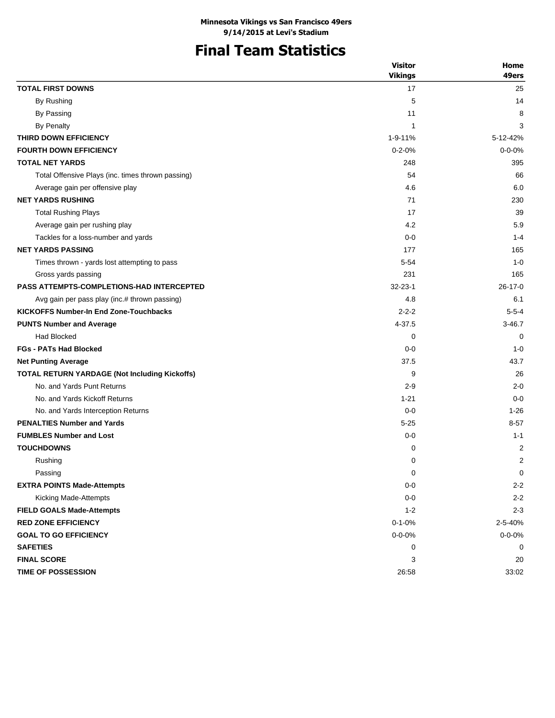# **Final Team Statistics**

| 49ers<br><b>TOTAL FIRST DOWNS</b><br>17<br>25<br>By Rushing<br>5<br>14<br>By Passing<br>11<br>8<br><b>By Penalty</b><br>$\mathbf{1}$<br>3<br>THIRD DOWN EFFICIENCY<br>1-9-11%<br>5-12-42%<br><b>FOURTH DOWN EFFICIENCY</b><br>$0 - 2 - 0%$<br>$0 - 0 - 0%$<br><b>TOTAL NET YARDS</b><br>248<br>395<br>Total Offensive Plays (inc. times thrown passing)<br>54<br>66<br>4.6<br>6.0<br>Average gain per offensive play<br><b>NET YARDS RUSHING</b><br>71<br>230<br>17<br>39<br><b>Total Rushing Plays</b><br>5.9<br>4.2<br>Average gain per rushing play<br>Tackles for a loss-number and yards<br>$0 - 0$<br>$1 - 4$<br><b>NET YARDS PASSING</b><br>177<br>165<br>$1 - 0$<br>Times thrown - yards lost attempting to pass<br>5-54<br>231<br>165<br>Gross yards passing<br><b>PASS ATTEMPTS-COMPLETIONS-HAD INTERCEPTED</b><br>$32 - 23 - 1$<br>$26-17-0$<br>4.8<br>Avg gain per pass play (inc.# thrown passing)<br>6.1<br><b>KICKOFFS Number-In End Zone-Touchbacks</b><br>$2 - 2 - 2$<br>$5 - 5 - 4$<br><b>PUNTS Number and Average</b><br>4-37.5<br>$3 - 46.7$<br><b>Had Blocked</b><br>0<br>0<br><b>FGs - PATs Had Blocked</b><br>$0 - 0$<br>$1 - 0$<br>37.5<br>43.7<br><b>Net Punting Average</b><br><b>TOTAL RETURN YARDAGE (Not Including Kickoffs)</b><br>26<br>9<br>No. and Yards Punt Returns<br>$2 - 9$<br>$2 - 0$<br>No. and Yards Kickoff Returns<br>$1 - 21$<br>$0 - 0$<br>No. and Yards Interception Returns<br>$0 - 0$<br>$1 - 26$<br><b>PENALTIES Number and Yards</b><br>$5 - 25$<br>$8 - 57$<br><b>FUMBLES Number and Lost</b><br>$0-0$<br>$1 - 1$<br><b>TOUCHDOWNS</b><br>2<br>0<br>$\overline{2}$<br>Rushing<br>0<br>Passing<br>0<br><b>EXTRA POINTS Made-Attempts</b><br>$0-0$<br>$2 - 2$<br>$0-0$<br>Kicking Made-Attempts<br>$2 - 2$<br>$1 - 2$<br><b>FIELD GOALS Made-Attempts</b><br>$2 - 3$<br><b>RED ZONE EFFICIENCY</b><br>$0 - 1 - 0%$<br>2-5-40%<br>$0 - 0 - 0\%$<br>$0 - 0 - 0\%$<br><b>GOAL TO GO EFFICIENCY</b><br><b>SAFETIES</b><br>0<br>0<br><b>FINAL SCORE</b><br>3<br>20 |                    | <b>Visitor</b> | Home  |
|----------------------------------------------------------------------------------------------------------------------------------------------------------------------------------------------------------------------------------------------------------------------------------------------------------------------------------------------------------------------------------------------------------------------------------------------------------------------------------------------------------------------------------------------------------------------------------------------------------------------------------------------------------------------------------------------------------------------------------------------------------------------------------------------------------------------------------------------------------------------------------------------------------------------------------------------------------------------------------------------------------------------------------------------------------------------------------------------------------------------------------------------------------------------------------------------------------------------------------------------------------------------------------------------------------------------------------------------------------------------------------------------------------------------------------------------------------------------------------------------------------------------------------------------------------------------------------------------------------------------------------------------------------------------------------------------------------------------------------------------------------------------------------------------------------------------------------------------------------------------------------------------------------------------------------------------------------------------------------------------------------------|--------------------|----------------|-------|
|                                                                                                                                                                                                                                                                                                                                                                                                                                                                                                                                                                                                                                                                                                                                                                                                                                                                                                                                                                                                                                                                                                                                                                                                                                                                                                                                                                                                                                                                                                                                                                                                                                                                                                                                                                                                                                                                                                                                                                                                                |                    | <b>Vikings</b> |       |
|                                                                                                                                                                                                                                                                                                                                                                                                                                                                                                                                                                                                                                                                                                                                                                                                                                                                                                                                                                                                                                                                                                                                                                                                                                                                                                                                                                                                                                                                                                                                                                                                                                                                                                                                                                                                                                                                                                                                                                                                                |                    |                |       |
|                                                                                                                                                                                                                                                                                                                                                                                                                                                                                                                                                                                                                                                                                                                                                                                                                                                                                                                                                                                                                                                                                                                                                                                                                                                                                                                                                                                                                                                                                                                                                                                                                                                                                                                                                                                                                                                                                                                                                                                                                |                    |                |       |
|                                                                                                                                                                                                                                                                                                                                                                                                                                                                                                                                                                                                                                                                                                                                                                                                                                                                                                                                                                                                                                                                                                                                                                                                                                                                                                                                                                                                                                                                                                                                                                                                                                                                                                                                                                                                                                                                                                                                                                                                                |                    |                |       |
|                                                                                                                                                                                                                                                                                                                                                                                                                                                                                                                                                                                                                                                                                                                                                                                                                                                                                                                                                                                                                                                                                                                                                                                                                                                                                                                                                                                                                                                                                                                                                                                                                                                                                                                                                                                                                                                                                                                                                                                                                |                    |                |       |
|                                                                                                                                                                                                                                                                                                                                                                                                                                                                                                                                                                                                                                                                                                                                                                                                                                                                                                                                                                                                                                                                                                                                                                                                                                                                                                                                                                                                                                                                                                                                                                                                                                                                                                                                                                                                                                                                                                                                                                                                                |                    |                |       |
|                                                                                                                                                                                                                                                                                                                                                                                                                                                                                                                                                                                                                                                                                                                                                                                                                                                                                                                                                                                                                                                                                                                                                                                                                                                                                                                                                                                                                                                                                                                                                                                                                                                                                                                                                                                                                                                                                                                                                                                                                |                    |                |       |
|                                                                                                                                                                                                                                                                                                                                                                                                                                                                                                                                                                                                                                                                                                                                                                                                                                                                                                                                                                                                                                                                                                                                                                                                                                                                                                                                                                                                                                                                                                                                                                                                                                                                                                                                                                                                                                                                                                                                                                                                                |                    |                |       |
|                                                                                                                                                                                                                                                                                                                                                                                                                                                                                                                                                                                                                                                                                                                                                                                                                                                                                                                                                                                                                                                                                                                                                                                                                                                                                                                                                                                                                                                                                                                                                                                                                                                                                                                                                                                                                                                                                                                                                                                                                |                    |                |       |
|                                                                                                                                                                                                                                                                                                                                                                                                                                                                                                                                                                                                                                                                                                                                                                                                                                                                                                                                                                                                                                                                                                                                                                                                                                                                                                                                                                                                                                                                                                                                                                                                                                                                                                                                                                                                                                                                                                                                                                                                                |                    |                |       |
|                                                                                                                                                                                                                                                                                                                                                                                                                                                                                                                                                                                                                                                                                                                                                                                                                                                                                                                                                                                                                                                                                                                                                                                                                                                                                                                                                                                                                                                                                                                                                                                                                                                                                                                                                                                                                                                                                                                                                                                                                |                    |                |       |
|                                                                                                                                                                                                                                                                                                                                                                                                                                                                                                                                                                                                                                                                                                                                                                                                                                                                                                                                                                                                                                                                                                                                                                                                                                                                                                                                                                                                                                                                                                                                                                                                                                                                                                                                                                                                                                                                                                                                                                                                                |                    |                |       |
|                                                                                                                                                                                                                                                                                                                                                                                                                                                                                                                                                                                                                                                                                                                                                                                                                                                                                                                                                                                                                                                                                                                                                                                                                                                                                                                                                                                                                                                                                                                                                                                                                                                                                                                                                                                                                                                                                                                                                                                                                |                    |                |       |
|                                                                                                                                                                                                                                                                                                                                                                                                                                                                                                                                                                                                                                                                                                                                                                                                                                                                                                                                                                                                                                                                                                                                                                                                                                                                                                                                                                                                                                                                                                                                                                                                                                                                                                                                                                                                                                                                                                                                                                                                                |                    |                |       |
|                                                                                                                                                                                                                                                                                                                                                                                                                                                                                                                                                                                                                                                                                                                                                                                                                                                                                                                                                                                                                                                                                                                                                                                                                                                                                                                                                                                                                                                                                                                                                                                                                                                                                                                                                                                                                                                                                                                                                                                                                |                    |                |       |
|                                                                                                                                                                                                                                                                                                                                                                                                                                                                                                                                                                                                                                                                                                                                                                                                                                                                                                                                                                                                                                                                                                                                                                                                                                                                                                                                                                                                                                                                                                                                                                                                                                                                                                                                                                                                                                                                                                                                                                                                                |                    |                |       |
|                                                                                                                                                                                                                                                                                                                                                                                                                                                                                                                                                                                                                                                                                                                                                                                                                                                                                                                                                                                                                                                                                                                                                                                                                                                                                                                                                                                                                                                                                                                                                                                                                                                                                                                                                                                                                                                                                                                                                                                                                |                    |                |       |
|                                                                                                                                                                                                                                                                                                                                                                                                                                                                                                                                                                                                                                                                                                                                                                                                                                                                                                                                                                                                                                                                                                                                                                                                                                                                                                                                                                                                                                                                                                                                                                                                                                                                                                                                                                                                                                                                                                                                                                                                                |                    |                |       |
|                                                                                                                                                                                                                                                                                                                                                                                                                                                                                                                                                                                                                                                                                                                                                                                                                                                                                                                                                                                                                                                                                                                                                                                                                                                                                                                                                                                                                                                                                                                                                                                                                                                                                                                                                                                                                                                                                                                                                                                                                |                    |                |       |
|                                                                                                                                                                                                                                                                                                                                                                                                                                                                                                                                                                                                                                                                                                                                                                                                                                                                                                                                                                                                                                                                                                                                                                                                                                                                                                                                                                                                                                                                                                                                                                                                                                                                                                                                                                                                                                                                                                                                                                                                                |                    |                |       |
|                                                                                                                                                                                                                                                                                                                                                                                                                                                                                                                                                                                                                                                                                                                                                                                                                                                                                                                                                                                                                                                                                                                                                                                                                                                                                                                                                                                                                                                                                                                                                                                                                                                                                                                                                                                                                                                                                                                                                                                                                |                    |                |       |
|                                                                                                                                                                                                                                                                                                                                                                                                                                                                                                                                                                                                                                                                                                                                                                                                                                                                                                                                                                                                                                                                                                                                                                                                                                                                                                                                                                                                                                                                                                                                                                                                                                                                                                                                                                                                                                                                                                                                                                                                                |                    |                |       |
|                                                                                                                                                                                                                                                                                                                                                                                                                                                                                                                                                                                                                                                                                                                                                                                                                                                                                                                                                                                                                                                                                                                                                                                                                                                                                                                                                                                                                                                                                                                                                                                                                                                                                                                                                                                                                                                                                                                                                                                                                |                    |                |       |
|                                                                                                                                                                                                                                                                                                                                                                                                                                                                                                                                                                                                                                                                                                                                                                                                                                                                                                                                                                                                                                                                                                                                                                                                                                                                                                                                                                                                                                                                                                                                                                                                                                                                                                                                                                                                                                                                                                                                                                                                                |                    |                |       |
|                                                                                                                                                                                                                                                                                                                                                                                                                                                                                                                                                                                                                                                                                                                                                                                                                                                                                                                                                                                                                                                                                                                                                                                                                                                                                                                                                                                                                                                                                                                                                                                                                                                                                                                                                                                                                                                                                                                                                                                                                |                    |                |       |
|                                                                                                                                                                                                                                                                                                                                                                                                                                                                                                                                                                                                                                                                                                                                                                                                                                                                                                                                                                                                                                                                                                                                                                                                                                                                                                                                                                                                                                                                                                                                                                                                                                                                                                                                                                                                                                                                                                                                                                                                                |                    |                |       |
|                                                                                                                                                                                                                                                                                                                                                                                                                                                                                                                                                                                                                                                                                                                                                                                                                                                                                                                                                                                                                                                                                                                                                                                                                                                                                                                                                                                                                                                                                                                                                                                                                                                                                                                                                                                                                                                                                                                                                                                                                |                    |                |       |
|                                                                                                                                                                                                                                                                                                                                                                                                                                                                                                                                                                                                                                                                                                                                                                                                                                                                                                                                                                                                                                                                                                                                                                                                                                                                                                                                                                                                                                                                                                                                                                                                                                                                                                                                                                                                                                                                                                                                                                                                                |                    |                |       |
|                                                                                                                                                                                                                                                                                                                                                                                                                                                                                                                                                                                                                                                                                                                                                                                                                                                                                                                                                                                                                                                                                                                                                                                                                                                                                                                                                                                                                                                                                                                                                                                                                                                                                                                                                                                                                                                                                                                                                                                                                |                    |                |       |
|                                                                                                                                                                                                                                                                                                                                                                                                                                                                                                                                                                                                                                                                                                                                                                                                                                                                                                                                                                                                                                                                                                                                                                                                                                                                                                                                                                                                                                                                                                                                                                                                                                                                                                                                                                                                                                                                                                                                                                                                                |                    |                |       |
|                                                                                                                                                                                                                                                                                                                                                                                                                                                                                                                                                                                                                                                                                                                                                                                                                                                                                                                                                                                                                                                                                                                                                                                                                                                                                                                                                                                                                                                                                                                                                                                                                                                                                                                                                                                                                                                                                                                                                                                                                |                    |                |       |
|                                                                                                                                                                                                                                                                                                                                                                                                                                                                                                                                                                                                                                                                                                                                                                                                                                                                                                                                                                                                                                                                                                                                                                                                                                                                                                                                                                                                                                                                                                                                                                                                                                                                                                                                                                                                                                                                                                                                                                                                                |                    |                |       |
|                                                                                                                                                                                                                                                                                                                                                                                                                                                                                                                                                                                                                                                                                                                                                                                                                                                                                                                                                                                                                                                                                                                                                                                                                                                                                                                                                                                                                                                                                                                                                                                                                                                                                                                                                                                                                                                                                                                                                                                                                |                    |                | 0     |
|                                                                                                                                                                                                                                                                                                                                                                                                                                                                                                                                                                                                                                                                                                                                                                                                                                                                                                                                                                                                                                                                                                                                                                                                                                                                                                                                                                                                                                                                                                                                                                                                                                                                                                                                                                                                                                                                                                                                                                                                                |                    |                |       |
|                                                                                                                                                                                                                                                                                                                                                                                                                                                                                                                                                                                                                                                                                                                                                                                                                                                                                                                                                                                                                                                                                                                                                                                                                                                                                                                                                                                                                                                                                                                                                                                                                                                                                                                                                                                                                                                                                                                                                                                                                |                    |                |       |
|                                                                                                                                                                                                                                                                                                                                                                                                                                                                                                                                                                                                                                                                                                                                                                                                                                                                                                                                                                                                                                                                                                                                                                                                                                                                                                                                                                                                                                                                                                                                                                                                                                                                                                                                                                                                                                                                                                                                                                                                                |                    |                |       |
|                                                                                                                                                                                                                                                                                                                                                                                                                                                                                                                                                                                                                                                                                                                                                                                                                                                                                                                                                                                                                                                                                                                                                                                                                                                                                                                                                                                                                                                                                                                                                                                                                                                                                                                                                                                                                                                                                                                                                                                                                |                    |                |       |
|                                                                                                                                                                                                                                                                                                                                                                                                                                                                                                                                                                                                                                                                                                                                                                                                                                                                                                                                                                                                                                                                                                                                                                                                                                                                                                                                                                                                                                                                                                                                                                                                                                                                                                                                                                                                                                                                                                                                                                                                                |                    |                |       |
|                                                                                                                                                                                                                                                                                                                                                                                                                                                                                                                                                                                                                                                                                                                                                                                                                                                                                                                                                                                                                                                                                                                                                                                                                                                                                                                                                                                                                                                                                                                                                                                                                                                                                                                                                                                                                                                                                                                                                                                                                |                    |                |       |
|                                                                                                                                                                                                                                                                                                                                                                                                                                                                                                                                                                                                                                                                                                                                                                                                                                                                                                                                                                                                                                                                                                                                                                                                                                                                                                                                                                                                                                                                                                                                                                                                                                                                                                                                                                                                                                                                                                                                                                                                                |                    |                |       |
|                                                                                                                                                                                                                                                                                                                                                                                                                                                                                                                                                                                                                                                                                                                                                                                                                                                                                                                                                                                                                                                                                                                                                                                                                                                                                                                                                                                                                                                                                                                                                                                                                                                                                                                                                                                                                                                                                                                                                                                                                | TIME OF POSSESSION | 26:58          | 33:02 |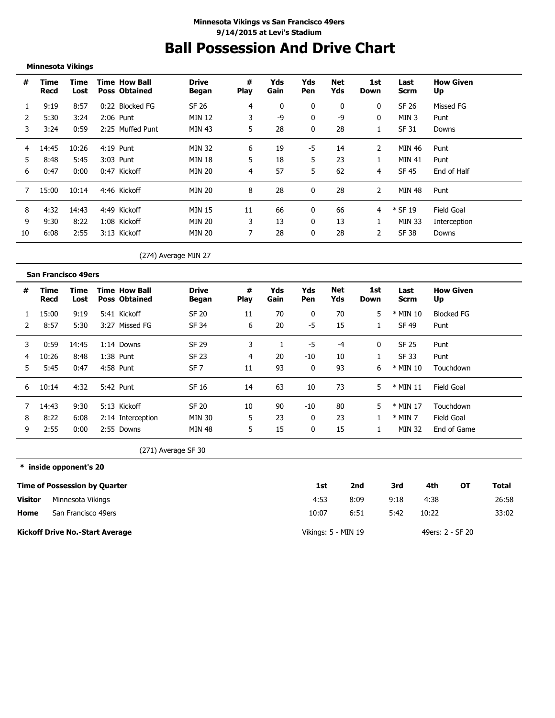# **Ball Possession And Drive Chart**

### **Minnesota Vikings**

| #  | Time<br>Recd | Time<br>Lost |      | <b>Time How Ball</b><br><b>Poss Obtained</b> | <b>Drive</b><br><b>Began</b> | #<br><b>Play</b> | Yds<br>Gain | Yds<br>Pen | Net<br>Yds | 1st<br>Down    | Last<br><b>Scrm</b> | <b>How Given</b><br>Up |
|----|--------------|--------------|------|----------------------------------------------|------------------------------|------------------|-------------|------------|------------|----------------|---------------------|------------------------|
|    | 9:19         | 8:57         | 0:22 | <b>Blocked FG</b>                            | SF 26                        | 4                | 0           | 0          | 0          | 0              | SF 26               | Missed FG              |
|    | 5:30         | 3:24         |      | 2:06 Punt                                    | <b>MIN 12</b>                | 3                | -9          | 0          | -9         | 0              | MIN 3               | Punt                   |
| 3  | 3:24         | 0:59         |      | 2:25 Muffed Punt                             | MIN 43                       | 5                | 28          |            | 28         |                | SF 31               | Downs                  |
| 4  | 14:45        | 10:26        |      | $4:19$ Punt                                  | <b>MIN 32</b>                | 6                | 19          | -5         | 14         | 2              | MIN 46              | Punt                   |
| 5  | 8:48         | 5:45         | 3:03 | Punt                                         | <b>MIN 18</b>                | 5                | 18          | 5          | 23         |                | MIN 41              | Punt                   |
| 6  | 0:47         | 0:00         |      | 0:47 Kickoff                                 | <b>MIN 20</b>                | 4                | 57          | 5          | 62         | 4              | SF 45               | End of Half            |
|    | 15:00        | 10:14        |      | 4:46 Kickoff                                 | <b>MIN 20</b>                | 8                | 28          | 0          | 28         | $\overline{2}$ | MIN 48              | Punt                   |
| 8  | 4:32         | 14:43        | 4:49 | Kickoff                                      | <b>MIN 15</b>                | 11               | 66          |            | 66         | 4              | $*$ SF 19           | Field Goal             |
| 9  | 9:30         | 8:22         |      | 1:08 Kickoff                                 | <b>MIN 20</b>                | 3                | 13          | 0          | 13         |                | MIN 33              | Interception           |
| 10 | 6:08         | 2:55         |      | 3:13 Kickoff                                 | <b>MIN 20</b>                | 7                | 28          | 0          | 28         | 2              | SF 38               | Downs                  |

### (274) Average MIN 27

|    | <b>San Francisco 49ers</b> |              |                                              |                       |                  |             |                   |            |             |                     |                        |
|----|----------------------------|--------------|----------------------------------------------|-----------------------|------------------|-------------|-------------------|------------|-------------|---------------------|------------------------|
| #  | Time<br>Recd               | Time<br>Lost | <b>Time How Ball</b><br><b>Poss Obtained</b> | <b>Drive</b><br>Began | #<br><b>Play</b> | Yds<br>Gain | Yds<br><b>Pen</b> | Net<br>Yds | 1st<br>Down | Last<br><b>Scrm</b> | <b>How Given</b><br>Up |
|    | 15:00                      | 9:19         | 5:41 Kickoff                                 | SF 20                 | 11               | 70          | 0                 | 70         | 5           | * MIN 10            | <b>Blocked FG</b>      |
|    | 8:57                       | 5:30         | 3:27 Missed FG                               | SF 34                 | 6                | 20          | -5                | 15         |             | SF 49               | Punt                   |
| 3  | 0:59                       | 14:45        | 1:14 Downs                                   | SF 29                 | 3                |             | -5                | -4         | 0           | SF 25               | Punt                   |
| 4  | 10:26                      | 8:48         | $1:38$ Punt                                  | SF 23                 | 4                | 20          | $-10$             | 10         |             | SF 33               | Punt                   |
| 5. | 5:45                       | 0:47         | 4:58 Punt                                    | SF <sub>7</sub>       | 11               | 93          | 0                 | 93         | 6           | * MIN 10            | Touchdown              |
| 6  | 10:14                      | 4:32         | 5:42 Punt                                    | SF 16                 | 14               | 63          | 10                | 73         | 5           | $*$ MIN 11          | Field Goal             |
|    | 14:43                      | 9:30         | 5:13 Kickoff                                 | SF 20                 | 10               | 90          | -10               | 80         | 5           | * MIN 17            | Touchdown              |
| 8  | 8:22                       | 6:08         | 2:14 Interception                            | MIN 30                | 5                | 23          | 0                 | 23         |             | $*$ MIN 7           | Field Goal             |
| 9  | 2:55                       | 0:00         | 2:55 Downs                                   | MIN 48                | 5                | 15          | 0                 | 15         |             | MIN 32              | End of Game            |

(271) Average SF 30

**\* inside opponent's 20 Time of Possession by Quarter Home Visitor Kickoff Drive No.-Start Average 1st 2nd 3rd 4th OT Total** 4:53 10:07 8:09 9:18 4:38 26:58 6:51 5:42 10:22 33:02 Vikings: 5 - MIN 19 49ers: 2 - SF 20 Minnesota Vikings San Francisco 49ers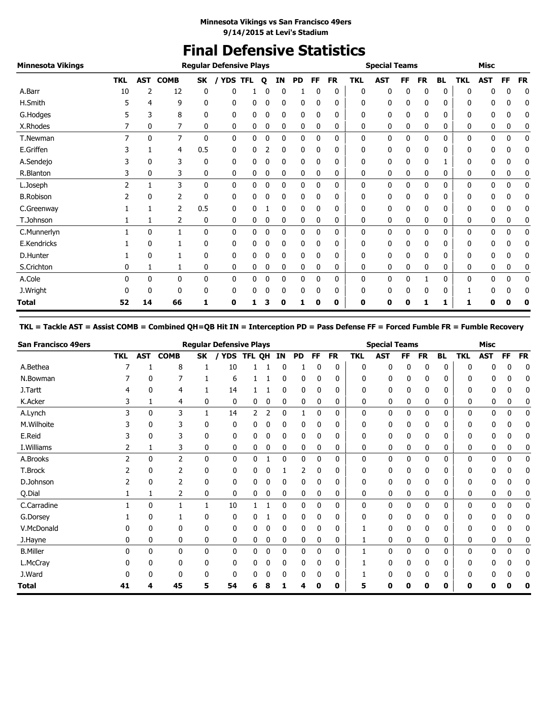# **Final Defensive Statistics**

| <b>Minnesota Vikings</b> |              |              |             |              | <b>Regular Defensive Plays</b> |            |   |             |           |    |           |            | <b>Special Teams</b> |    |           |              |            | <b>Misc</b>  |           |           |
|--------------------------|--------------|--------------|-------------|--------------|--------------------------------|------------|---|-------------|-----------|----|-----------|------------|----------------------|----|-----------|--------------|------------|--------------|-----------|-----------|
|                          | <b>TKL</b>   | AST          | <b>COMB</b> | SK           | <b>YDS</b>                     | <b>TFL</b> | Q | ΙN          | <b>PD</b> | FF | <b>FR</b> | <b>TKL</b> | <b>AST</b>           | FF | <b>FR</b> | <b>BL</b>    | <b>TKL</b> | <b>AST</b>   | <b>FF</b> | <b>FR</b> |
| A.Barr                   | 10           | 2            | 12          | 0            | 0                              |            |   | 0           |           |    | 0         | 0          | 0                    |    | 0         | 0            | 0          |              | 0         | 0         |
| H.Smith                  |              | 4            | 9           | 0            | 0                              | 0          | 0 | 0           | 0         | 0  | 0         | 0          | 0                    | 0  | 0         | 0            | 0          | 0            | 0         | 0         |
| G.Hodges                 |              | 3            | 8           | 0            | 0                              | 0          |   | 0           | 0         | 0  | 0         | 0          | 0                    | 0  | 0         | 0            | 0          | 0            | 0         | 0         |
| X.Rhodes                 |              | 0            | 7           | 0            | 0                              | 0          | 0 | 0           | 0         | 0  | 0         | 0          | 0                    | 0  | 0         | 0            | 0          | 0            | 0         | 0         |
| T.Newman                 | 7            | $\mathbf{0}$ | 7           | 0            | $\mathbf{0}$                   | 0          | 0 | $\mathbf 0$ | 0         | 0  | 0         | 0          | 0                    | 0  | 0         | $\mathbf{0}$ | 0          | $\mathbf{0}$ | 0         | 0         |
| E.Griffen                |              |              | 4           | 0.5          | $\mathbf{0}$                   | 0          |   | $\mathbf 0$ | 0         | 0  | 0         | 0          | 0                    | 0  | 0         | 0            | 0          | 0            | 0         | 0         |
| A.Sendejo                |              | 0            | 3           | 0            | 0                              | 0          | 0 | 0           | 0         | 0  | 0         | 0          | 0                    | 0  | 0         |              | 0          | 0            | 0         | 0         |
| R.Blanton                |              | 0            | 3           | 0            | 0                              | 0          | 0 | 0           | 0         | 0  | 0         | 0          | 0                    | 0  | 0         | 0            | 0          | 0            | 0         | 0         |
| L.Joseph                 | 2            |              | 3           | $\mathbf{0}$ | $\mathbf{0}$                   | 0          | 0 | $\mathbf 0$ | 0         | 0  | 0         | 0          | 0                    | 0  | 0         | 0            | 0          | $\mathbf{0}$ | 0         | 0         |
| <b>B.Robison</b>         |              | 0            | 2           | 0            | 0                              | 0          | C | 0           | 0         | 0  | 0         | 0          | 0                    | 0  | 0         | 0            | 0          | 0            | 0         | 0         |
| C.Greenway               |              |              | 2           | 0.5          | 0                              | 0          |   | 0           | 0         | 0  | 0         | 0          | 0                    |    | 0         | 0            | 0          | 0            | 0         | 0         |
| T.Johnson                |              |              | 2           | $\mathbf{0}$ | 0                              | 0          | 0 | 0           | 0         | 0  | 0         | 0          | 0                    | 0  | 0         | 0            | 0          | 0            | 0         | 0         |
| C.Munnerlyn              |              | 0            |             | $\mathbf{0}$ | $\mathbf{0}$                   | 0          | 0 | $\mathbf 0$ | 0         | 0  | 0         | 0          | 0                    | 0  | 0         | 0            | 0          | $\mathbf{0}$ | 0         | 0         |
| E.Kendricks              |              | 0            |             | 0            | 0                              | 0          | 0 | 0           | 0         | 0  | 0         | 0          | 0                    | 0  | 0         | 0            | 0          | 0            | 0         | 0         |
| D.Hunter                 |              | 0            |             | 0            | 0                              | 0          |   | 0           | 0         | 0  | 0         | 0          | 0                    |    | 0         | 0            | 0          | 0            | 0         | 0         |
| S.Crichton               | 0            |              |             | 0            | 0                              | 0          | 0 | 0           | 0         | 0  | 0         | 0          | 0                    | 0  | 0         | 0            | 0          | 0            | 0         | 0         |
| A.Cole                   | <sup>0</sup> | 0            | 0           | 0            | 0                              | 0          | 0 | 0           | 0         | 0  | 0         | 0          | 0                    | 0  |           | 0            | 0          | 0            | 0         | 0         |
| J.Wright                 |              | 0            | 0           | 0            | 0                              | 0          | 0 | 0           | 0         | 0  | 0         | 0          | 0                    |    | 0         | 0            |            | 0            | 0         | 0         |
| Total                    | 52           | 14           | 66          | 1            | 0                              |            |   |             |           | O  | 0         | 0          | 0                    | Ω  |           | 1            | 1          | п            |           | O         |

### **TKL = Tackle AST = Assist COMB = Combined QH=QB Hit IN = Interception PD = Pass Defense FF = Forced Fumble FR = Fumble Recovery**

| <b>San Francisco 49ers</b> |                |            |                |              | <b>Regular Defensive Plays</b> |        |   |              |              |           |           |              | <b>Special Teams</b> |     |           |              |            | <b>Misc</b>  |           |           |
|----------------------------|----------------|------------|----------------|--------------|--------------------------------|--------|---|--------------|--------------|-----------|-----------|--------------|----------------------|-----|-----------|--------------|------------|--------------|-----------|-----------|
|                            | <b>TKL</b>     | <b>AST</b> | <b>COMB</b>    | SK           | YDS                            | TFL QH |   | ΙN           | <b>PD</b>    | <b>FF</b> | <b>FR</b> | <b>TKL</b>   | <b>AST</b>           | FF. | <b>FR</b> | <b>BL</b>    | <b>TKL</b> | <b>AST</b>   | <b>FF</b> | <b>FR</b> |
| A.Bethea                   |                |            | 8              |              | 10                             |        |   |              |              | 0         | 0         | 0            | 0                    | 0   | 0         | 0            | C          |              |           | 0         |
| N.Bowman                   |                | 0          |                |              | 6                              |        |   | 0            | 0            | 0         | 0         | 0            | 0                    | 0   | 0         | 0            | 0          | 0            |           | 0         |
| J.Tartt                    | 4              | 0          | 4              |              | 14                             |        |   | 0            | 0            | 0         | 0         | 0            | 0                    | 0   | 0         | 0            | 0          | 0            | 0         | 0         |
| K.Acker                    | 3              |            | 4              | 0            | 0                              | 0      | 0 | 0            | 0            | 0         | 0         | 0            | 0                    | 0   | 0         | 0            | 0          | 0            | 0         | 0         |
| A.Lynch                    | 3              | 0          | 3              | 1            | 14                             | 2      | 2 | 0            |              | 0         | 0         | 0            | 0                    | 0   | 0         | 0            | 0          | 0            | 0         | 0         |
| M.Wilhoite                 |                | 0          | 3              | 0            | 0                              | 0      | 0 | 0            | 0            | 0         | 0         | 0            | 0                    | 0   | 0         | 0            | ŋ          | 0            |           | 0         |
| E.Reid                     |                | 0          | 3              | 0            | 0                              |        | 0 | 0            | 0            | 0         | 0         | 0            | 0                    | 0   | 0         | 0            | C          | 0            |           |           |
| I.Williams                 | 2              | 1          | 3              | 0            | 0                              | 0      | 0 | 0            | 0            | 0         | 0         | 0            | 0                    | 0   | 0         | 0            | 0          | 0            | 0         | 0         |
| A.Brooks                   | $\overline{2}$ | 0          | $\overline{2}$ | $\mathbf{0}$ | $\mathbf{0}$                   | 0      |   | $\mathbf{0}$ | $\mathbf{0}$ | 0         | 0         | $\mathbf{0}$ | 0                    | 0   | 0         | $\mathbf{0}$ | 0          | $\mathbf{0}$ | 0         | 0         |
| T.Brock                    |                | 0          | 2              | 0            | 0                              | 0      | 0 |              | 2            | 0         | 0         | $\Omega$     | 0                    | 0   | 0         | 0            | 0          | 0            | 0         | 0         |
| D.Johnson                  |                | 0          |                | 0            | 0                              | 0      | 0 | 0            | 0            | 0         | 0         | 0            | 0                    | 0   | 0         | 0            | 0          | 0            | 0         | 0         |
| Q.Dial                     |                |            | 2              | 0            | 0                              | 0      | 0 | 0            | 0            | 0         | 0         | 0            | 0                    | 0   | 0         | 0            | 0          | 0            | 0         | 0         |
| C.Carradine                |                | 0          |                | 1            | 10                             |        |   | 0            | 0            | 0         | 0         | 0            | 0                    | 0   | 0         | 0            | 0          | 0            | 0         | 0         |
| G.Dorsey                   |                | 0          |                | 0            | 0                              |        |   | 0            | 0            | 0         | 0         | 0            | 0                    | 0   | 0         | 0            | ŋ          | 0            |           | 0         |
| V.McDonald                 |                | 0          | 0              | 0            | 0                              |        | 0 | 0            | 0            | 0         | 0         |              | 0                    | 0   | 0         | 0            | 0          | 0            | 0         | 0         |
| J.Hayne                    | 0              | 0          | 0              | 0            | 0                              | 0      | 0 | 0            | 0            | 0         | 0         |              | 0                    | 0   | 0         | 0            | 0          | 0            | 0         | 0         |
| <b>B.Miller</b>            | 0              | 0          | $\mathbf{0}$   | 0            | 0                              | 0      | 0 | $\mathbf{0}$ | $\mathbf{0}$ | 0         | 0         |              | 0                    | 0   | $\Omega$  | 0            | 0          | 0            | 0         | 0         |
| L.McCray                   |                | 0          | 0              | 0            | 0                              | 0      | 0 | 0            | 0            | 0         | 0         |              | 0                    | 0   | 0         | 0            | ŋ          | 0            |           | 0         |
| J.Ward                     |                |            | $\Omega$       | 0            | 0                              |        | 0 |              | 0            |           | 0         |              | 0                    | 0   |           | 0            | U          |              |           |           |
| <b>Total</b>               | 41             | 4          | 45             | 5            | 54                             | 6      | 8 |              | 4            | 0         | 0         | 5            | 0                    | 0   | 0         | 0            | 0          | 0            | n         | 0         |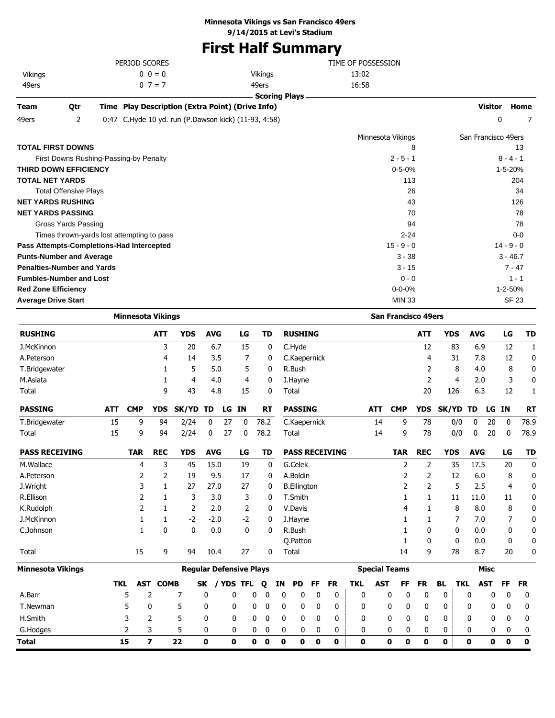## **First Half Summary**

| Team    | <b>Otr</b> | Time Play Description (Extra Point) (Drive Info) |                 |                    | Visitor | Home |
|---------|------------|--------------------------------------------------|-----------------|--------------------|---------|------|
|         |            |                                                  | . Scoring Plavs |                    |         |      |
| 49ers   |            | $0 \t7 = 7$                                      | 49ers           | 16:58              |         |      |
| Vikings |            | $0 \ 0 = 0$                                      | Vikings         | 13:02              |         |      |
|         |            | PERIOD SCORES                                    |                 | TIME OF POSSESSION |         |      |
|         |            |                                                  |                 |                    |         |      |

| 0:47 C.Hyde 10 yd. run (P.Dawson kick) (11-93, 4:58)<br>49ers<br>2 |                   | 0<br>7              |
|--------------------------------------------------------------------|-------------------|---------------------|
|                                                                    | Minnesota Vikings | San Francisco 49ers |
| TOTAL FIRST DOWNS                                                  | 8                 | 13                  |
| First Downs Rushing-Passing-by Penalty                             | $2 - 5 - 1$       | $8 - 4 - 1$         |
| <b>THIRD DOWN EFFICIENCY</b>                                       | $0 - 5 - 0%$      | 1-5-20%             |
| <b>TOTAL NET YARDS</b>                                             | 113               | 204                 |
| <b>Total Offensive Plays</b>                                       | 26                | 34                  |
| <b>NET YARDS RUSHING</b>                                           | 43                | 126                 |
| <b>NET YARDS PASSING</b>                                           | 70                | 78                  |
| Gross Yards Passing                                                | 94                | 78                  |
| Times thrown-yards lost attempting to pass                         | $2 - 24$          | $0 - 0$             |
| Pass Attempts-Completions-Had Intercepted                          | $15 - 9 - 0$      | $14 - 9 - 0$        |
| <b>Punts-Number and Average</b>                                    | $3 - 38$          | $3 - 46.7$          |
| <b>Penalties-Number and Yards</b>                                  | $3 - 15$          | $7 - 47$            |
| <b>Fumbles-Number and Lost</b>                                     | $0 - 0$           | $1 - 1$             |
| <b>Red Zone Efficiency</b>                                         | $0 - 0 - 0%$      | 1-2-50%             |
| <b>Average Drive Start</b>                                         | <b>MIN 33</b>     | <b>SF 23</b>        |
|                                                                    |                   |                     |

|                       | <b>Minnesota Vikings</b> |            |                         |                                |              |    |                |      |             |             |                    |             |                       |              |            |                      | <b>San Francisco 49ers</b>  |              |                |            |             |              |             |
|-----------------------|--------------------------|------------|-------------------------|--------------------------------|--------------|----|----------------|------|-------------|-------------|--------------------|-------------|-----------------------|--------------|------------|----------------------|-----------------------------|--------------|----------------|------------|-------------|--------------|-------------|
| <b>RUSHING</b>        |                          |            | <b>ATT</b>              | <b>YDS</b>                     | <b>AVG</b>   |    | LG             |      | <b>TD</b>   |             | <b>RUSHING</b>     |             |                       |              |            |                      | <b>ATT</b>                  | <b>YDS</b>   |                | <b>AVG</b> |             | LG           | <b>TD</b>   |
| J.McKinnon            |                          |            | 3                       | 20                             | 6.7          |    | 15             |      | 0           |             | C.Hyde             |             |                       |              |            |                      | 12                          |              | 83             | 6.9        |             | 12           | 1           |
| A.Peterson            |                          |            | 4                       | 14                             | 3.5          |    | 7              |      | 0           |             | C.Kaepernick       |             |                       |              |            |                      | 4                           |              | 31             | 7.8        |             | 12           | 0           |
| T.Bridgewater         |                          |            | 1                       | 5                              | 5.0          |    | 5              |      | 0           |             | R.Bush             |             |                       |              |            |                      | 2                           |              | 8              | 4.0        |             | 8            | 0           |
| M.Asiata              |                          |            | 1                       | $\overline{4}$                 | 4.0          |    | $\overline{4}$ |      | 0           |             | J.Hayne            |             |                       |              |            |                      |                             | 2            | $\overline{4}$ | 2.0        |             | 3            | 0           |
| Total                 |                          |            | 9                       | 43                             | 4.8          |    | 15             |      | 0           |             | Total              |             |                       |              |            |                      | 20                          | 126          |                | 6.3        |             | 12           | 1           |
| <b>PASSING</b>        | <b>ATT</b>               | <b>CMP</b> | <b>YDS</b>              | SK/YD                          | TD           |    | LG IN          |      | <b>RT</b>   |             | <b>PASSING</b>     |             |                       |              | <b>ATT</b> | <b>CMP</b>           | <b>YDS</b>                  | <b>SK/YD</b> |                | TD         | LG IN       |              | <b>RT</b>   |
| T.Bridgewater         | 15                       | 9          | 94                      | 2/24                           | 0            | 27 | $\mathbf{0}$   | 78.2 |             |             | C.Kaepernick       |             |                       |              | 14         | 9                    | 78                          |              | 0/0            | 0          | 20          | $\mathbf{0}$ | 78.9        |
| Total                 | 15                       | 9          | 94                      | 2/24                           | $\mathbf{0}$ | 27 | 0              | 78.2 |             |             | Total              |             |                       |              | 14         | 9                    | 78                          |              | 0/0            | 0          | 20          | $\mathbf{0}$ | 78.9        |
| <b>PASS RECEIVING</b> |                          | <b>TAR</b> | <b>REC</b>              | <b>YDS</b>                     | <b>AVG</b>   |    | LG             |      | TD          |             |                    |             | <b>PASS RECEIVING</b> |              |            | <b>TAR</b>           | <b>REC</b>                  | <b>YDS</b>   |                | <b>AVG</b> |             | LG           | <b>TD</b>   |
| M.Wallace             |                          | 4          | 3                       | 45                             | 15.0         |    | 19             |      | 0           |             | G.Celek            |             |                       |              |            | 2                    | 2                           |              | 35             | 17.5       |             | 20           | 0           |
| A.Peterson            |                          | 2          | 2                       | 19                             | 9.5          |    | 17             |      | 0           |             | A.Boldin           |             |                       |              |            | 2                    | 2                           |              | 12             | 6.0        |             | 8            | 0           |
| J.Wright              |                          | 3          | 1                       | 27                             | 27.0         |    | 27             |      | 0           |             | <b>B.Ellington</b> |             |                       |              |            | 2                    | 2                           |              | 5              | 2.5        |             | 4            | 0           |
| R.Ellison             |                          | 2          | 1                       | 3                              | 3.0          |    | 3              |      | 0           |             | T.Smith            |             |                       |              |            | 1                    | $\mathbf{1}$                |              | 11             | 11.0       |             | 11           | 0           |
| K.Rudolph             |                          | 2          | 1                       | $\overline{2}$                 | 2.0          |    | 2              |      | 0           |             | V.Davis            |             |                       |              |            | 4                    | 1                           |              | 8              | 8.0        |             | 8            | 0           |
| J.McKinnon            |                          | 1          | 1                       | $-2$                           | $-2.0$       |    | $-2$           |      | 0           |             | J.Hayne            |             |                       |              |            |                      | 1                           |              | 7              | 7.0        |             | 7            | 0           |
| C.Johnson             |                          | 1          | $\mathbf{0}$            | $\mathbf{0}$                   | 0.0          |    | $\mathbf{0}$   |      | 0           |             | R.Bush             |             |                       |              |            |                      | $\mathbf{0}$                |              | $\Omega$       | 0.0        |             | 0            | 0           |
|                       |                          |            |                         |                                |              |    |                |      |             |             | O.Patton           |             |                       |              |            | 1                    | $\mathbf{0}$                |              | $\mathbf{0}$   | 0.0        |             | 0            | 0           |
| Total                 |                          | 15         | 9                       | 94                             | 10.4         |    | 27             |      | 0           |             | Total              |             |                       |              |            | 14                   | 9                           |              | 78             | 8.7        |             | 20           | 0           |
| Minnesota Vikings     |                          |            |                         | <b>Regular Defensive Plays</b> |              |    |                |      |             |             |                    |             |                       |              |            | <b>Special Teams</b> |                             |              |                |            | <b>Misc</b> |              |             |
|                       | <b>TKL</b>               |            | <b>AST COMB</b>         |                                | SK           |    | / YDS TFL      | Q    |             | ΙN          | PD                 | <b>FF</b>   | <b>FR</b>             | <b>TKL</b>   | <b>AST</b> | <b>FF</b>            | <b>FR</b>                   | <b>BL</b>    | <b>TKL</b>     |            | <b>AST</b>  | <b>FF</b>    | <b>FR</b>   |
| A.Barr                |                          | 5          | 2                       | 7                              | 0            |    | 0              | 0    | 0           | $\mathbf 0$ | 0                  | 0           | 0                     | $\mathbf{0}$ |            | 0                    | 0<br>0                      | 0            |                | 0          | 0           | $\mathbf 0$  | 0           |
| T.Newman              |                          | 5          | 0                       | 5                              | 0            |    | 0              | 0    | $\mathbf 0$ | 0           | 0                  | $\mathbf 0$ | $\mathbf{0}$          | 0            |            | 0                    | $\mathbf 0$<br>0            | 0            |                | 0          | 0           | 0            | 0           |
| H.Smith               |                          | 3          | $\overline{2}$          | 5                              | 0            |    | 0              | 0    | 0           | 0           | 0                  | 0           | 0                     | $\mathbf{0}$ |            | 0                    | $\mathbf 0$<br>$\mathbf{0}$ | 0            |                | 0          | 0           | $\mathbf 0$  | 0           |
| G.Hodges              |                          | 2          | 3                       | 5                              | 0            |    | 0              | 0    | 0           | 0           | 0                  | 0           | 0                     | 0            |            | 0                    | 0<br>0                      | 0            |                | 0          | 0           | 0            | 0           |
| Total                 |                          | 15         | $\overline{\mathbf{z}}$ | 22                             | $\mathbf 0$  |    | 0              | 0    | 0           | 0           | $\mathbf 0$        | 0           | 0                     | $\mathbf 0$  |            | $\mathbf 0$          | $\bf{0}$<br>0               | O            |                | 0          | $\mathbf 0$ | 0            | $\mathbf 0$ |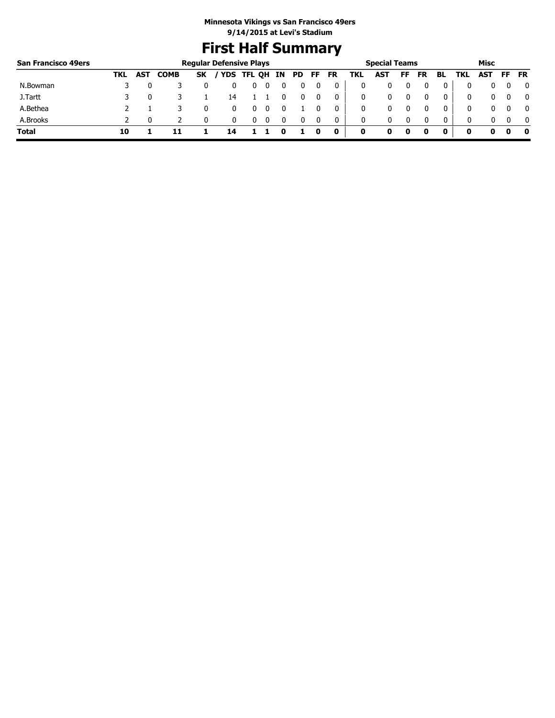# **First Half Summary**

| <b>San Francisco 49ers</b> |     |            |             |           | <b>Regular Defensive Plays</b> |   |   |          |    |    |           |     | <b>Special Teams</b> |     |           |              |     | Misc |              |
|----------------------------|-----|------------|-------------|-----------|--------------------------------|---|---|----------|----|----|-----------|-----|----------------------|-----|-----------|--------------|-----|------|--------------|
|                            | TKL | <b>AST</b> | <b>COMB</b> | <b>SK</b> | / YDS TFL QH IN                |   |   |          | PD | FF | <b>FR</b> | TKL | <b>AST</b>           | FF. | <b>FR</b> | BL           | TKL | AST  | FF FR        |
| N.Bowman                   |     |            |             |           |                                | υ |   |          |    |    |           |     |                      |     |           |              |     |      | 0            |
| J.Tartt                    |     |            |             |           | 14                             |   |   |          |    |    |           | 0   |                      |     |           | 0            | 0   | 0    | $\mathbf{0}$ |
| A.Bethea                   |     |            |             |           |                                | U |   |          |    |    |           | 0   |                      |     |           |              | 0   | 0    | $\mathbf{0}$ |
| A.Brooks                   |     |            |             |           |                                | U | 0 | $\Omega$ |    |    | 0         | 0   | 0                    |     |           | $\mathbf{0}$ | 0   | 0    | $\mathbf{0}$ |
| <b>Total</b>               | 10  |            |             |           |                                |   |   |          |    |    | $\bf o$   | 0   |                      | 0   |           |              |     | o    | 0            |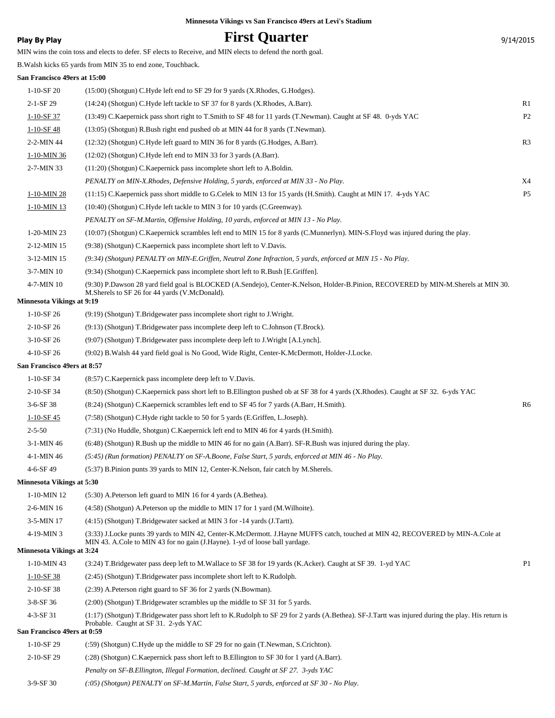### **Play By Play Play Play Play Play By Play Play By Play Play By Play Play Play Play Play Play Play Play Play Play Play Play Play Play Play Play Play Play Play Play Play**

MIN wins the coin toss and elects to defer. SF elects to Receive, and MIN elects to defend the north goal.

B.Walsh kicks 65 yards from MIN 35 to end zone, Touchback.

### **San Francisco 49ers at 15:00**

| 1-10-SF 20                       | (15:00) (Shotgun) C.Hyde left end to SF 29 for 9 yards (X.Rhodes, G.Hodges).                                                                                                                |                |
|----------------------------------|---------------------------------------------------------------------------------------------------------------------------------------------------------------------------------------------|----------------|
| 2-1-SF 29                        | (14:24) (Shotgun) C.Hyde left tackle to SF 37 for 8 yards (X.Rhodes, A.Barr).                                                                                                               | R <sub>1</sub> |
| $1-10-SF$ 37                     | (13:49) C. Kaepernick pass short right to T. Smith to SF 48 for 11 yards (T. Newman). Caught at SF 48. 0-yds YAC                                                                            | P <sub>2</sub> |
| 1-10-SF 48                       | (13:05) (Shotgun) R.Bush right end pushed ob at MIN 44 for 8 yards (T.Newman).                                                                                                              |                |
| 2-2-MIN 44                       | (12:32) (Shotgun) C.Hyde left guard to MIN 36 for 8 yards (G.Hodges, A.Barr).                                                                                                               | R <sub>3</sub> |
| 1-10-MIN 36                      | (12:02) (Shotgun) C.Hyde left end to MIN 33 for 3 yards (A.Barr).                                                                                                                           |                |
| 2-7-MIN 33                       | $(11:20)$ (Shotgun) C. Kaepernick pass incomplete short left to A. Boldin.                                                                                                                  |                |
|                                  | PENALTY on MIN-X.Rhodes, Defensive Holding, 5 yards, enforced at MIN 33 - No Play.                                                                                                          | X4             |
| 1-10-MIN 28                      | (11:15) C. Kaepernick pass short middle to G. Celek to MIN 13 for 15 yards (H. Smith). Caught at MIN 17. 4-yds YAC                                                                          | P <sub>5</sub> |
| 1-10-MIN 13                      | (10:40) (Shotgun) C.Hyde left tackle to MIN 3 for 10 yards (C.Greenway).                                                                                                                    |                |
|                                  | PENALTY on SF-M.Martin, Offensive Holding, 10 yards, enforced at MIN 13 - No Play.                                                                                                          |                |
| 1-20-MIN 23                      | (10:07) (Shotgun) C.Kaepernick scrambles left end to MIN 15 for 8 yards (C.Munnerlyn). MIN-S.Floyd was injured during the play.                                                             |                |
| 2-12-MIN 15                      | (9:38) (Shotgun) C.Kaepernick pass incomplete short left to V.Davis.                                                                                                                        |                |
| 3-12-MIN 15                      | (9:34) (Shotgun) PENALTY on MIN-E.Griffen, Neutral Zone Infraction, 5 yards, enforced at MIN 15 - No Play.                                                                                  |                |
| 3-7-MIN 10                       | (9:34) (Shotgun) C.Kaepernick pass incomplete short left to R.Bush [E.Griffen].                                                                                                             |                |
| 4-7-MIN 10                       | (9:30) P.Dawson 28 yard field goal is BLOCKED (A.Sendejo), Center-K.Nelson, Holder-B.Pinion, RECOVERED by MIN-M.Sherels at MIN 30.<br>M.Sherels to SF 26 for 44 yards (V.McDonald).         |                |
| <b>Minnesota Vikings at 9:19</b> |                                                                                                                                                                                             |                |
| $1-10-SF$ 26                     | (9:19) (Shotgun) T.Bridgewater pass incomplete short right to J.Wright.                                                                                                                     |                |
| 2-10-SF 26                       | (9:13) (Shotgun) T.Bridgewater pass incomplete deep left to C.Johnson (T.Brock).                                                                                                            |                |
| $3-10-SF$ 26                     | (9:07) (Shotgun) T.Bridgewater pass incomplete deep left to J.Wright [A.Lynch].                                                                                                             |                |
| 4-10-SF 26                       | (9:02) B. Walsh 44 yard field goal is No Good, Wide Right, Center-K. McDermott, Holder-J. Locke.                                                                                            |                |
| San Francisco 49ers at 8:57      |                                                                                                                                                                                             |                |
| $1-10-SF34$                      | (8:57) C. Kaepernick pass incomplete deep left to V. Davis.                                                                                                                                 |                |
| 2-10-SF 34                       | (8:50) (Shotgun) C.Kaepernick pass short left to B.Ellington pushed ob at SF 38 for 4 yards (X.Rhodes). Caught at SF 32. 6-yds YAC                                                          | R <sub>6</sub> |
| $3-6-SF38$                       | (8.24) (Shotgun) C.Kaepernick scrambles left end to SF 45 for 7 yards (A.Barr, H.Smith).                                                                                                    |                |
| $1-10-SF$ 45<br>$2 - 5 - 50$     | (7:58) (Shotgun) C.Hyde right tackle to 50 for 5 yards (E.Griffen, L.Joseph).<br>(7:31) (No Huddle, Shotgun) C. Kaepernick left end to MIN 46 for 4 yards (H. Smith).                       |                |
|                                  |                                                                                                                                                                                             |                |
| $3-1-MIN$ 46<br>4-1-MIN 46       | (6:48) (Shotgun) R.Bush up the middle to MIN 46 for no gain (A.Barr). SF-R.Bush was injured during the play.                                                                                |                |
| 4-6-SF 49                        | (5:45) (Run formation) PENALTY on SF-A.Boone, False Start, 5 yards, enforced at MIN 46 - No Play.<br>(5:37) B. Pinion punts 39 yards to MIN 12, Center-K. Nelson, fair catch by M. Sherels. |                |
| <b>Minnesota Vikings at 5:30</b> |                                                                                                                                                                                             |                |
| 1-10-MIN 12                      | (5:30) A.Peterson left guard to MIN 16 for 4 yards (A.Bethea).                                                                                                                              |                |
| 2-6-MIN 16                       | $(4:58)$ (Shotgun) A. Peterson up the middle to MIN 17 for 1 yard (M. Wilhoite).                                                                                                            |                |
| 3-5-MIN 17                       | (4:15) (Shotgun) T.Bridgewater sacked at MIN 3 for -14 yards (J.Tartt).                                                                                                                     |                |
| 4-19-MIN 3                       | (3:33) J.Locke punts 39 yards to MIN 42, Center-K.McDermott. J.Hayne MUFFS catch, touched at MIN 42, RECOVERED by MIN-A.Cole at                                                             |                |
| <b>Minnesota Vikings at 3:24</b> | MIN 43. A.Cole to MIN 43 for no gain (J.Hayne). 1-yd of loose ball yardage.                                                                                                                 |                |
| 1-10-MIN 43                      | (3:24) T.Bridgewater pass deep left to M.Wallace to SF 38 for 19 yards (K.Acker). Caught at SF 39. 1-yd YAC                                                                                 | P <sub>1</sub> |
| $1-10-SF$ 38                     | (2:45) (Shotgun) T.Bridgewater pass incomplete short left to K.Rudolph.                                                                                                                     |                |
| 2-10-SF 38                       | (2:39) A. Peterson right guard to SF 36 for 2 yards (N. Bowman).                                                                                                                            |                |
| $3-8-SF$ 36                      | $(2.00)$ (Shotgun) T.Bridgewater scrambles up the middle to SF 31 for 5 yards.                                                                                                              |                |
| 4-3-SF 31                        | (1:17) (Shotgun) T.Bridgewater pass short left to K.Rudolph to SF 29 for 2 yards (A.Bethea). SF-J.Tartt was injured during the play. His return is<br>Probable. Caught at SF 31. 2-yds YAC  |                |
| San Francisco 49ers at 0:59      |                                                                                                                                                                                             |                |
| 1-10-SF 29                       | (:59) (Shotgun) C.Hyde up the middle to SF 29 for no gain (T.Newman, S.Crichton).                                                                                                           |                |
| 2-10-SF 29                       | (:28) (Shotgun) C.Kaepernick pass short left to B.Ellington to SF 30 for 1 yard (A.Barr).                                                                                                   |                |
|                                  | Penalty on SF-B.Ellington, Illegal Formation, declined. Caught at SF 27. 3-yds YAC                                                                                                          |                |
| 3-9-SF 30                        | (:05) (Shotgun) PENALTY on SF-M.Martin, False Start, 5 yards, enforced at SF 30 - No Play.                                                                                                  |                |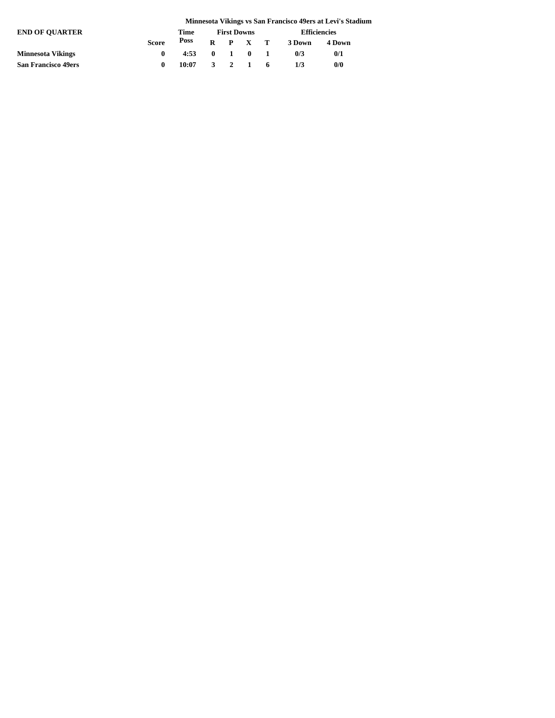|                            | Minnesota Vikings vs San Francisco 49ers at Levi's Stadium |                |  |                    |         |                 |                     |        |  |  |  |
|----------------------------|------------------------------------------------------------|----------------|--|--------------------|---------|-----------------|---------------------|--------|--|--|--|
| <b>END OF OUARTER</b>      |                                                            | Time           |  | <b>First Downs</b> |         |                 | <b>Efficiencies</b> |        |  |  |  |
|                            | <b>Score</b>                                               | Poss           |  |                    |         | $R$ $P$ $X$ $T$ | 3 Down              | 4 Down |  |  |  |
| <b>Minnesota Vikings</b>   | 0                                                          | $4:53$ 0 1 0 1 |  |                    |         |                 | 0/3                 | 0/1    |  |  |  |
| <b>San Francisco 49ers</b> | 0                                                          | 10:07          |  |                    | 3 2 1 6 |                 | 1/3                 | 0/0    |  |  |  |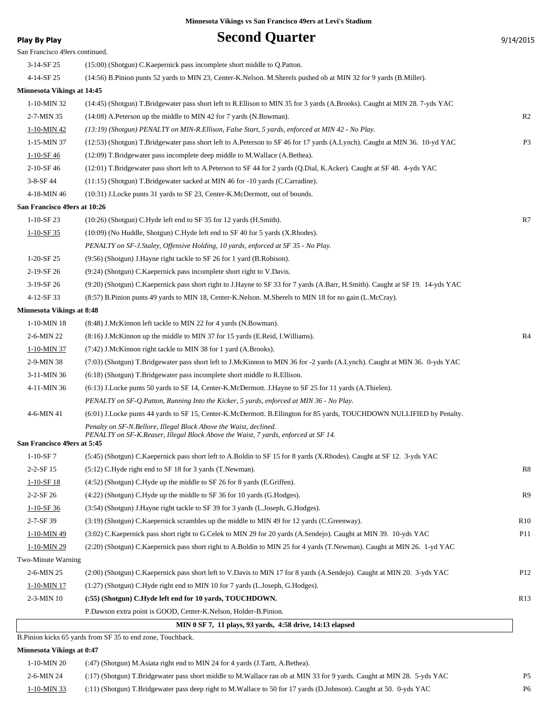| Play By Play                      | <b>Second Quarter</b>                                                                                                         | 9/14/2015       |
|-----------------------------------|-------------------------------------------------------------------------------------------------------------------------------|-----------------|
| San Francisco 49ers continued.    |                                                                                                                               |                 |
| $3-14-SF25$                       | (15:00) (Shotgun) C.Kaepernick pass incomplete short middle to Q.Patton.                                                      |                 |
| 4-14-SF 25                        | (14:56) B.Pinion punts 52 yards to MIN 23, Center-K.Nelson. M.Sherels pushed ob at MIN 32 for 9 yards (B.Miller).             |                 |
| <b>Minnesota Vikings at 14:45</b> |                                                                                                                               |                 |
| $1-10-MIN$ 32                     | (14:45) (Shotgun) T.Bridgewater pass short left to R.Ellison to MIN 35 for 3 yards (A.Brooks). Caught at MIN 28. 7-yds YAC    |                 |
| 2-7-MIN 35                        | (14:08) A. Peterson up the middle to MIN 42 for 7 yards (N. Bowman).                                                          | R <sub>2</sub>  |
| 1-10-MIN 42                       | (13:19) (Shotgun) PENALTY on MIN-R. Ellison, False Start, 5 yards, enforced at MIN 42 - No Play.                              |                 |
| 1-15-MIN 37                       | (12:53) (Shotgun) T.Bridgewater pass short left to A.Peterson to SF 46 for 17 yards (A.Lynch). Caught at MIN 36. 10-yd YAC    | P <sub>3</sub>  |
| $1 - 10 - SF46$                   | (12:09) T.Bridgewater pass incomplete deep middle to M.Wallace (A.Bethea).                                                    |                 |
| 2-10-SF 46                        | (12:01) T.Bridgewater pass short left to A.Peterson to SF 44 for 2 yards (Q.Dial, K.Acker). Caught at SF 48. 4-yds YAC        |                 |
| 3-8-SF 44                         | (11:15) (Shotgun) T.Bridgewater sacked at MIN 46 for -10 yards (C.Carradine).                                                 |                 |
| 4-18-MIN 46                       | (10:31) J.Locke punts 31 yards to SF 23, Center-K.McDermott, out of bounds.                                                   |                 |
| San Francisco 49ers at 10:26      |                                                                                                                               |                 |
| $1-10-SF23$                       | (10:26) (Shotgun) C.Hyde left end to SF 35 for 12 yards (H.Smith).                                                            | R7              |
| $1-10-SF35$                       | (10:09) (No Huddle, Shotgun) C.Hyde left end to SF 40 for 5 yards (X.Rhodes).                                                 |                 |
|                                   | PENALTY on SF-J.Staley, Offensive Holding, 10 yards, enforced at SF 35 - No Play.                                             |                 |
| $1-20-SF25$                       | (9:56) (Shotgun) J.Hayne right tackle to SF 26 for 1 yard (B.Robison).                                                        |                 |
| 2-19-SF 26                        | (9:24) (Shotgun) C.Kaepernick pass incomplete short right to V.Davis.                                                         |                 |
| 3-19-SF 26                        | (9:20) (Shotgun) C.Kaepernick pass short right to J.Hayne to SF 33 for 7 yards (A.Barr, H.Smith). Caught at SF 19. 14-yds YAC |                 |
| 4-12-SF 33                        | (8:57) B.Pinion punts 49 yards to MIN 18, Center-K.Nelson. M.Sherels to MIN 18 for no gain (L.McCray).                        |                 |
| <b>Minnesota Vikings at 8:48</b>  |                                                                                                                               |                 |
| 1-10-MIN 18                       | (8:48) J.McKinnon left tackle to MIN 22 for 4 yards (N.Bowman).                                                               |                 |
| 2-6-MIN 22                        | (8.16) J.McKinnon up the middle to MIN 37 for 15 yards (E.Reid, I.Williams).                                                  | R <sub>4</sub>  |
| 1-10-MIN 37                       | (7:42) J.McKinnon right tackle to MIN 38 for 1 yard (A.Brooks).                                                               |                 |
| 2-9-MIN 38                        | (7:03) (Shotgun) T.Bridgewater pass short left to J.McKinnon to MIN 36 for -2 yards (A.Lynch). Caught at MIN 36. 0-yds YAC    |                 |
| 3-11-MIN 36                       | $(6:18)$ (Shotgun) T.Bridgewater pass incomplete short middle to R.Ellison.                                                   |                 |
| 4-11-MIN 36                       | (6:13) J.Locke punts 50 yards to SF 14, Center-K.McDermott. J.Hayne to SF 25 for 11 yards (A.Thielen).                        |                 |
|                                   | PENALTY on SF-Q.Patton, Running Into the Kicker, 5 yards, enforced at MIN 36 - No Play.                                       |                 |
| 4-6-MIN 41                        | (6:01) J.Locke punts 44 yards to SF 15, Center-K.McDermott. B.Ellington for 85 yards, TOUCHDOWN NULLIFIED by Penalty.         |                 |
|                                   | Penalty on SF-N.Bellore, Illegal Block Above the Waist, declined.                                                             |                 |
| San Francisco 49ers at 5:45       | PENALTY on SF-K.Reaser, Illegal Block Above the Waist, 7 yards, enforced at SF 14.                                            |                 |
| $1-10-SF7$                        | (5:45) (Shotgun) C.Kaepernick pass short left to A.Boldin to SF 15 for 8 yards (X.Rhodes). Caught at SF 12. 3-yds YAC         |                 |
| 2-2-SF 15                         | (5:12) C.Hyde right end to SF 18 for 3 yards (T.Newman).                                                                      | R8              |
| $1-10-SF18$                       | (4:52) (Shotgun) C.Hyde up the middle to SF 26 for 8 yards (E.Griffen).                                                       |                 |
| $2 - 2 - SF 26$                   | (4:22) (Shotgun) C.Hyde up the middle to SF 36 for 10 yards (G.Hodges).                                                       | R9              |
| $1-10-SF36$                       | (3:54) (Shotgun) J.Hayne right tackle to SF 39 for 3 yards (L.Joseph, G.Hodges).                                              |                 |
| 2-7-SF 39                         | (3:19) (Shotgun) C.Kaepernick scrambles up the middle to MIN 49 for 12 yards (C.Greenway).                                    | R <sub>10</sub> |
| $1-10-MIN$ 49                     | (3:02) C.Kaepernick pass short right to G.Celek to MIN 29 for 20 yards (A.Sendejo). Caught at MIN 39. 10-yds YAC              | P <sub>11</sub> |
| 1-10-MIN 29                       | (2:20) (Shotgun) C.Kaepernick pass short right to A.Boldin to MIN 25 for 4 yards (T.Newman). Caught at MIN 26. 1-yd YAC       |                 |
| Two-Minute Warning                |                                                                                                                               |                 |
| 2-6-MIN 25                        | (2:00) (Shotgun) C.Kaepernick pass short left to V.Davis to MIN 17 for 8 yards (A.Sendejo). Caught at MIN 20. 3-yds YAC       | P <sub>12</sub> |
| 1-10-MIN 17                       | (1:27) (Shotgun) C.Hyde right end to MIN 10 for 7 yards (L.Joseph, G.Hodges).                                                 |                 |
| $2-3-MIN$ 10                      | (:55) (Shotgun) C.Hyde left end for 10 yards, TOUCHDOWN.                                                                      | R13             |
|                                   | P.Dawson extra point is GOOD, Center-K.Nelson, Holder-B.Pinion.                                                               |                 |
|                                   | MIN 0 SF 7, 11 plays, 93 yards, 4:58 drive, 14:13 elapsed                                                                     |                 |
|                                   |                                                                                                                               |                 |

B.Pinion kicks 65 yards from SF 35 to end zone, Touchback.

**Minnesota Vikings at 0:47**

| 1-10-MIN 20   | (:47) (Shotgun) M.Asiata right end to MIN 24 for 4 yards (J.Tartt, A.Bethea).                                          |                |
|---------------|------------------------------------------------------------------------------------------------------------------------|----------------|
| $2-6$ -MIN 24 | (:17) (Shotgun) T.Bridgewater pass short middle to M.Wallace ran ob at MIN 33 for 9 yards. Caught at MIN 28. 5-yds YAC | P <sub>5</sub> |
| 1-10-MIN 33   | (:11) (Shotgun) T.Bridgewater pass deep right to M.Wallace to 50 for 17 yards (D.Johnson). Caught at 50. 0-yds YAC     | P <sub>6</sub> |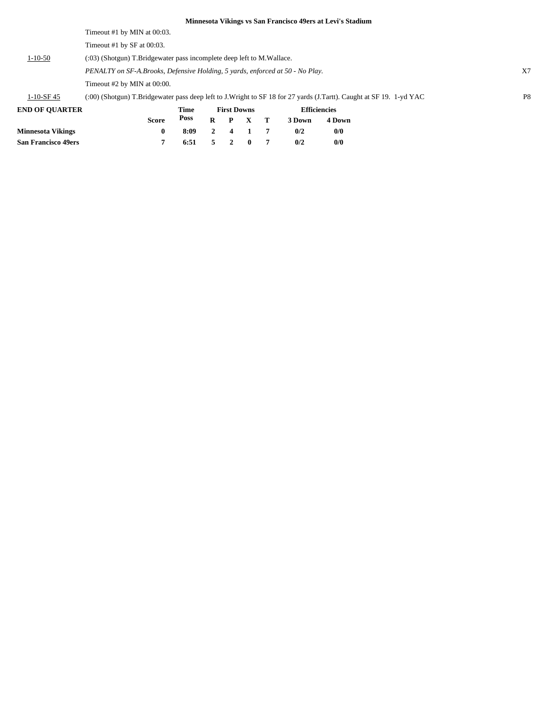|                                                                                        |                                                                               |              |      |                |                    |              |    | Minnesota Vikings vs San Francisco 49ers at Levi's Stadium |                     |                                                                                                                     |    |  |
|----------------------------------------------------------------------------------------|-------------------------------------------------------------------------------|--------------|------|----------------|--------------------|--------------|----|------------------------------------------------------------|---------------------|---------------------------------------------------------------------------------------------------------------------|----|--|
|                                                                                        | Timeout #1 by MIN at 00:03.                                                   |              |      |                |                    |              |    |                                                            |                     |                                                                                                                     |    |  |
|                                                                                        | Timeout #1 by $SF$ at 00:03.                                                  |              |      |                |                    |              |    |                                                            |                     |                                                                                                                     |    |  |
| (:03) (Shotgun) T.Bridgewater pass incomplete deep left to M.Wallace.<br>$1 - 10 - 50$ |                                                                               |              |      |                |                    |              |    |                                                            |                     |                                                                                                                     |    |  |
|                                                                                        | PENALTY on SF-A.Brooks, Defensive Holding, 5 yards, enforced at 50 - No Play. |              | X7   |                |                    |              |    |                                                            |                     |                                                                                                                     |    |  |
|                                                                                        | Timeout #2 by MIN at 00:00.                                                   |              |      |                |                    |              |    |                                                            |                     |                                                                                                                     |    |  |
| $1-10-SF$ 45                                                                           |                                                                               |              |      |                |                    |              |    |                                                            |                     | (:00) (Shotgun) T.Bridgewater pass deep left to J.Wright to SF 18 for 27 yards (J.Tartt). Caught at SF 19. 1-yd YAC | P8 |  |
| <b>END OF QUARTER</b>                                                                  |                                                                               |              | Time |                | <b>First Downs</b> |              |    |                                                            | <b>Efficiencies</b> |                                                                                                                     |    |  |
|                                                                                        |                                                                               | <b>Score</b> | Poss | $\bf{R}$       | P                  | X.           | т  | 3 Down                                                     | 4 Down              |                                                                                                                     |    |  |
| <b>Minnesota Vikings</b>                                                               |                                                                               | $\bf{0}$     | 8:09 | $\overline{2}$ | 4                  |              | -7 | 0/2                                                        | 0/0                 |                                                                                                                     |    |  |
| <b>San Francisco 49ers</b>                                                             |                                                                               |              | 6:51 | 5.             | 2                  | $\mathbf{0}$ | 7  | 0/2                                                        | 0/0                 |                                                                                                                     |    |  |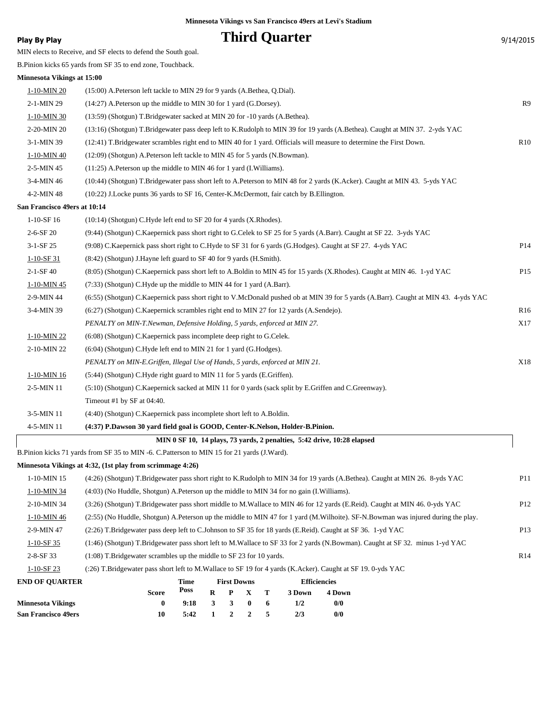# **Play By Play Play Play Play By Play Play By Play Play By Play Play By Play 9/14/2015**

MIN elects to Receive, and SF elects to defend the South goal.

|  |  |  | B. Pinion kicks 65 yards from SF 35 to end zone, Touchback. |
|--|--|--|-------------------------------------------------------------|
|--|--|--|-------------------------------------------------------------|

| Minnesota Vikings at 15:00 |  |  |  |
|----------------------------|--|--|--|
|----------------------------|--|--|--|

| <b>Minnesota Vikings</b><br><b>San Francisco 49ers</b> | $\boldsymbol{0}$<br>10                                                                                                                                                                    | 9:18<br>5:42 | 3<br>1      | 3<br>$\boldsymbol{2}$ | $\boldsymbol{0}$<br>$\boldsymbol{2}$ | 6<br>5 | 1/2<br>2/3          | 0/0<br>0/0                                                              |                                                                                                                                    |                 |  |
|--------------------------------------------------------|-------------------------------------------------------------------------------------------------------------------------------------------------------------------------------------------|--------------|-------------|-----------------------|--------------------------------------|--------|---------------------|-------------------------------------------------------------------------|------------------------------------------------------------------------------------------------------------------------------------|-----------------|--|
|                                                        | Score                                                                                                                                                                                     | Poss         | $\mathbf R$ | P                     | X                                    | Т      | 3 Down              | 4 Down                                                                  |                                                                                                                                    |                 |  |
| <b>END OF QUARTER</b>                                  |                                                                                                                                                                                           | Time         |             | <b>First Downs</b>    |                                      |        | <b>Efficiencies</b> |                                                                         |                                                                                                                                    |                 |  |
| $1-10-SF23$                                            | (:26) T.Bridgewater pass short left to M.Wallace to SF 19 for 4 yards (K.Acker). Caught at SF 19. 0-yds YAC                                                                               |              |             |                       |                                      |        |                     |                                                                         |                                                                                                                                    |                 |  |
| 2-8-SF 33                                              | (1:08) T.Bridgewater scrambles up the middle to SF 23 for 10 yards.                                                                                                                       |              |             |                       |                                      |        |                     |                                                                         |                                                                                                                                    | R14             |  |
| $1-10-SF$ 35                                           |                                                                                                                                                                                           |              |             |                       |                                      |        |                     |                                                                         | (1:46) (Shotgun) T.Bridgewater pass short left to M.Wallace to SF 33 for 2 yards (N.Bowman). Caught at SF 32. minus 1-yd YAC       |                 |  |
| 2-9-MIN 47                                             | (2:26) T.Bridgewater pass deep left to C.Johnson to SF 35 for 18 yards (E.Reid). Caught at SF 36. 1-yd YAC                                                                                |              |             |                       |                                      |        |                     |                                                                         |                                                                                                                                    | P13             |  |
| 1-10-MIN 46                                            |                                                                                                                                                                                           |              |             |                       |                                      |        |                     |                                                                         | (2:55) (No Huddle, Shotgun) A.Peterson up the middle to MIN 47 for 1 yard (M.Wilhoite). SF-N.Bowman was injured during the play.   |                 |  |
| 2-10-MIN 34                                            |                                                                                                                                                                                           |              |             |                       |                                      |        |                     |                                                                         | (3:26) (Shotgun) T.Bridgewater pass short middle to M.Wallace to MIN 46 for 12 yards (E.Reid). Caught at MIN 46. 0-yds YAC         | P12             |  |
| 1-10-MIN 34                                            | (4:03) (No Huddle, Shotgun) A. Peterson up the middle to MIN 34 for no gain (I. Williams).                                                                                                |              |             |                       |                                      |        |                     |                                                                         |                                                                                                                                    |                 |  |
| 1-10-MIN 15                                            |                                                                                                                                                                                           |              |             |                       |                                      |        |                     |                                                                         | (4:26) (Shotgun) T.Bridgewater pass short right to K.Rudolph to MIN 34 for 19 yards (A.Bethea). Caught at MIN 26. 8-yds YAC        | P11             |  |
|                                                        | Minnesota Vikings at 4:32, (1st play from scrimmage 4:26)                                                                                                                                 |              |             |                       |                                      |        |                     |                                                                         |                                                                                                                                    |                 |  |
|                                                        | B.Pinion kicks 71 yards from SF 35 to MIN -6. C.Patterson to MIN 15 for 21 yards (J.Ward).                                                                                                |              |             |                       |                                      |        |                     |                                                                         |                                                                                                                                    |                 |  |
|                                                        |                                                                                                                                                                                           |              |             |                       |                                      |        |                     | MIN 0 SF 10, 14 plays, 73 yards, 2 penalties, 5:42 drive, 10:28 elapsed |                                                                                                                                    |                 |  |
| 4-5-MIN 11                                             | (4:37) P.Dawson 30 yard field goal is GOOD, Center-K.Nelson, Holder-B.Pinion.                                                                                                             |              |             |                       |                                      |        |                     |                                                                         |                                                                                                                                    |                 |  |
| 3-5-MIN 11                                             | (4:40) (Shotgun) C.Kaepernick pass incomplete short left to A.Boldin.                                                                                                                     |              |             |                       |                                      |        |                     |                                                                         |                                                                                                                                    |                 |  |
|                                                        | Timeout #1 by SF at 04:40.                                                                                                                                                                |              |             |                       |                                      |        |                     |                                                                         |                                                                                                                                    |                 |  |
| 2-5-MIN 11                                             | (5:10) (Shotgun) C.Kaepernick sacked at MIN 11 for 0 yards (sack split by E.Griffen and C.Greenway).                                                                                      |              |             |                       |                                      |        |                     |                                                                         |                                                                                                                                    |                 |  |
| 1-10-MIN 16                                            | (5:44) (Shotgun) C.Hyde right guard to MIN 11 for 5 yards (E.Griffen).                                                                                                                    |              |             |                       |                                      |        |                     |                                                                         |                                                                                                                                    |                 |  |
|                                                        | PENALTY on MIN-E.Griffen, Illegal Use of Hands, 5 yards, enforced at MIN 21.                                                                                                              |              |             |                       |                                      |        |                     |                                                                         |                                                                                                                                    | X18             |  |
| 2-10-MIN 22                                            | (6:04) (Shotgun) C.Hyde left end to MIN 21 for 1 yard (G.Hodges).                                                                                                                         |              |             |                       |                                      |        |                     |                                                                         |                                                                                                                                    |                 |  |
| 1-10-MIN 22                                            | (6:08) (Shotgun) C.Kaepernick pass incomplete deep right to G.Celek.                                                                                                                      |              |             |                       |                                      |        |                     |                                                                         |                                                                                                                                    |                 |  |
|                                                        | X17<br>PENALTY on MIN-T.Newman, Defensive Holding, 5 yards, enforced at MIN 27.                                                                                                           |              |             |                       |                                      |        |                     |                                                                         |                                                                                                                                    |                 |  |
| 3-4-MIN 39                                             | $(6:27)$ (Shotgun) C. Kaepernick scrambles right end to MIN 27 for 12 yards (A. Sendejo).                                                                                                 |              |             |                       |                                      |        |                     |                                                                         |                                                                                                                                    | R <sub>16</sub> |  |
| 2-9-MIN 44                                             |                                                                                                                                                                                           |              |             |                       |                                      |        |                     |                                                                         | (6:55) (Shotgun) C.Kaepernick pass short right to V.McDonald pushed ob at MIN 39 for 5 yards (A.Barr). Caught at MIN 43. 4-yds YAC |                 |  |
| 1-10-MIN 45                                            | (7:33) (Shotgun) C.Hyde up the middle to MIN 44 for 1 yard (A.Barr).                                                                                                                      |              |             |                       |                                      |        |                     |                                                                         |                                                                                                                                    |                 |  |
| $2 - 1 - SF40$                                         |                                                                                                                                                                                           |              |             |                       |                                      |        |                     |                                                                         | (8:05) (Shotgun) C.Kaepernick pass short left to A.Boldin to MIN 45 for 15 yards (X.Rhodes). Caught at MIN 46. 1-yd YAC            | P15             |  |
| $1-10-SF$ 31                                           | (8:42) (Shotgun) J.Hayne left guard to SF 40 for 9 yards (H.Smith).                                                                                                                       |              |             |                       |                                      |        |                     |                                                                         |                                                                                                                                    |                 |  |
| 3-1-SF 25                                              | (9:08) C.Kaepernick pass short right to C.Hyde to SF 31 for 6 yards (G.Hodges). Caught at SF 27. 4-yds YAC                                                                                |              |             |                       |                                      |        |                     |                                                                         |                                                                                                                                    | P14             |  |
| $2 - 6 - SF 20$                                        | (10:14) (Shotgun) C.Hyde left end to SF 20 for 4 yards (X.Rhodes).<br>(9:44) (Shotgun) C.Kaepernick pass short right to G.Celek to SF 25 for 5 yards (A.Barr). Caught at SF 22. 3-yds YAC |              |             |                       |                                      |        |                     |                                                                         |                                                                                                                                    |                 |  |
| San Francisco 49ers at 10:14<br>$1-10-SF16$            |                                                                                                                                                                                           |              |             |                       |                                      |        |                     |                                                                         |                                                                                                                                    |                 |  |
| 4-2-MIN 48                                             | (10:22) J.Locke punts 36 yards to SF 16, Center-K.McDermott, fair catch by B.Ellington.                                                                                                   |              |             |                       |                                      |        |                     |                                                                         |                                                                                                                                    |                 |  |
| 3-4-MIN 46                                             |                                                                                                                                                                                           |              |             |                       |                                      |        |                     |                                                                         | (10:44) (Shotgun) T.Bridgewater pass short left to A.Peterson to MIN 48 for 2 yards (K.Acker). Caught at MIN 43. 5-yds YAC         |                 |  |
| 2-5-MIN 45                                             | (11:25) A.Peterson up the middle to MIN 46 for 1 yard (I.Williams).                                                                                                                       |              |             |                       |                                      |        |                     |                                                                         |                                                                                                                                    |                 |  |
| 1-10-MIN 40                                            | (12:09) (Shotgun) A.Peterson left tackle to MIN 45 for 5 yards (N.Bowman).                                                                                                                |              |             |                       |                                      |        |                     |                                                                         |                                                                                                                                    |                 |  |
| 3-1-MIN 39                                             | (12:41) T.Bridgewater scrambles right end to MIN 40 for 1 yard. Officials will measure to determine the First Down.                                                                       |              |             |                       |                                      |        |                     |                                                                         |                                                                                                                                    | R10             |  |
| 2-20-MIN 20                                            |                                                                                                                                                                                           |              |             |                       |                                      |        |                     |                                                                         | (13:16) (Shotgun) T.Bridgewater pass deep left to K.Rudolph to MIN 39 for 19 yards (A.Bethea). Caught at MIN 37. 2-yds YAC         |                 |  |
| 1-10-MIN 30                                            | (13:59) (Shotgun) T.Bridgewater sacked at MIN 20 for -10 yards (A.Bethea).                                                                                                                |              |             |                       |                                      |        |                     |                                                                         |                                                                                                                                    |                 |  |
| 2-1-MIN 29                                             | (14:27) A.Peterson up the middle to MIN 30 for 1 yard (G.Dorsey).                                                                                                                         |              |             |                       |                                      |        |                     |                                                                         |                                                                                                                                    | R9              |  |
| 1-10-MIN 20                                            | (15:00) A.Peterson left tackle to MIN 29 for 9 yards (A.Bethea, Q.Dial).                                                                                                                  |              |             |                       |                                      |        |                     |                                                                         |                                                                                                                                    |                 |  |
|                                                        |                                                                                                                                                                                           |              |             |                       |                                      |        |                     |                                                                         |                                                                                                                                    |                 |  |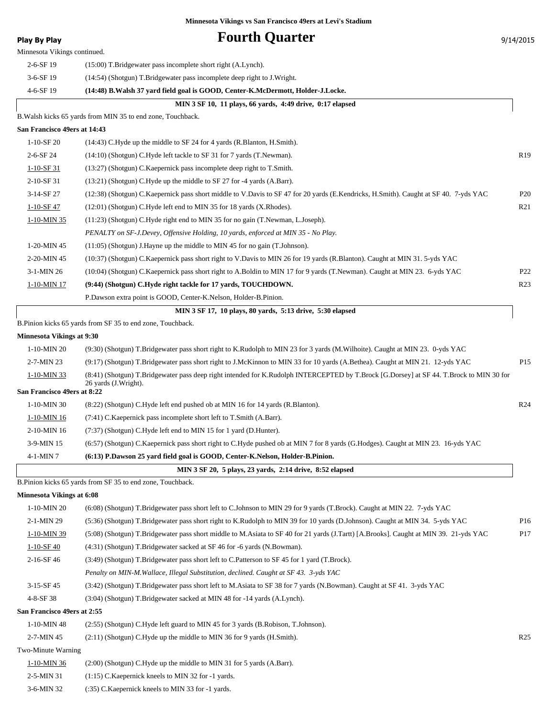### **Play By Play Play Play Play Fourth Quarter Play By Play Play Play Play Play Play Play Play Play Play Play Play Play Play Play Play Play Play Play Play Play Play Play** Minnesota Vikings continued. 2-6-SF 19 (15:00) T.Bridgewater pass incomplete short right (A.Lynch). 3-6-SF 19 (14:54) (Shotgun) T.Bridgewater pass incomplete deep right to J.Wright. 4-6-SF 19 **(14:48) B.Walsh 37 yard field goal is GOOD, Center-K.McDermott, Holder-J.Locke. MIN 3 SF 10, 11 plays, 66 yards, 4:49 drive, 0:17 elapsed** B.Walsh kicks 65 yards from MIN 35 to end zone, Touchback. **San Francisco 49ers at 14:43** 1-10-SF 20 (14:43) C.Hyde up the middle to SF 24 for 4 yards (R.Blanton, H.Smith). 2-6-SF 24 (14:10) (Shotgun) C.Hyde left tackle to SF 31 for 7 yards (T.Newman). R19 1-10-SF 31 (13:27) (Shotgun) C.Kaepernick pass incomplete deep right to T.Smith. 2-10-SF 31 (13:21) (Shotgun) C.Hyde up the middle to SF 27 for -4 yards (A.Barr). 3-14-SF 27 (12:38) (Shotgun) C.Kaepernick pass short middle to V.Davis to SF 47 for 20 yards (E.Kendricks, H.Smith). Caught at SF 40. 7-yds YAC P20 1-10-SF 47 (12:01) (Shotgun) C.Hyde left end to MIN 35 for 18 yards (X.Rhodes). R21 1-10-MIN 35 (11:23) (Shotgun) C.Hyde right end to MIN 35 for no gain (T.Newman, L.Joseph). *PENALTY on SF-J.Devey, Offensive Holding, 10 yards, enforced at MIN 35 - No Play.* 1-20-MIN 45 (11:05) (Shotgun) J.Hayne up the middle to MIN 45 for no gain (T.Johnson). 2-20-MIN 45 (10:37) (Shotgun) C.Kaepernick pass short right to V.Davis to MIN 26 for 19 yards (R.Blanton). Caught at MIN 31. 5-yds YAC 3-1-MIN 26 (10:04) (Shotgun) C.Kaepernick pass short right to A.Boldin to MIN 17 for 9 yards (T.Newman). Caught at MIN 23. 6-yds YAC P22 1-10-MIN 17 **(9:44) (Shotgun) C.Hyde right tackle for 17 yards, TOUCHDOWN.** R23 P.Dawson extra point is GOOD, Center-K.Nelson, Holder-B.Pinion.  **MIN 3 SF 17, 10 plays, 80 yards, 5:13 drive, 5:30 elapsed** B.Pinion kicks 65 yards from SF 35 to end zone, Touchback. **Minnesota Vikings at 9:30** 1-10-MIN 20 (9:30) (Shotgun) T.Bridgewater pass short right to K.Rudolph to MIN 23 for 3 yards (M.Wilhoite). Caught at MIN 23. 0-yds YAC 2-7-MIN 23 (9:17) (Shotgun) T.Bridgewater pass short right to J.McKinnon to MIN 33 for 10 yards (A.Bethea). Caught at MIN 21. 12-yds YAC P15 (8:41) (Shotgun) T.Bridgewater pass deep right intended for K.Rudolph INTERCEPTED by T.Brock [G.Dorsey] at SF 44. T.Brock to MIN 30 for 26 yards (J.Wright). 1-10-MIN 33 **San Francisco 49ers at 8:22** 1-10-MIN 30 (8:22) (Shotgun) C.Hyde left end pushed ob at MIN 16 for 14 yards (R.Blanton). R24 1-10-MIN 16 (7:41) C.Kaepernick pass incomplete short left to T.Smith (A.Barr). 2-10-MIN 16 (7:37) (Shotgun) C.Hyde left end to MIN 15 for 1 yard (D.Hunter). 3-9-MIN 15 (6:57) (Shotgun) C.Kaepernick pass short right to C.Hyde pushed ob at MIN 7 for 8 yards (G.Hodges). Caught at MIN 23. 16-yds YAC 4-1-MIN 7 **(6:13) P.Dawson 25 yard field goal is GOOD, Center-K.Nelson, Holder-B.Pinion. MIN 3 SF 20, 5 plays, 23 yards, 2:14 drive, 8:52 elapsed** B.Pinion kicks 65 yards from SF 35 to end zone, Touchback. **Minnesota Vikings at 6:08** 1-10-MIN 20 (6:08) (Shotgun) T.Bridgewater pass short left to C.Johnson to MIN 29 for 9 yards (T.Brock). Caught at MIN 22. 7-yds YAC 2-1-MIN 29 (5:36) (Shotgun) T.Bridgewater pass short right to K.Rudolph to MIN 39 for 10 yards (D.Johnson). Caught at MIN 34. 5-yds YAC P16 1-10-MIN 39 (5:08) (Shotgun) T.Bridgewater pass short middle to M.Asiata to SF 40 for 21 yards (J.Tartt) [A.Brooks]. Caught at MIN 39. 21-yds YAC P17 1-10-SF 40 (4:31) (Shotgun) T.Bridgewater sacked at SF 46 for -6 yards (N.Bowman). 2-16-SF 46 (3:49) (Shotgun) T.Bridgewater pass short left to C.Patterson to SF 45 for 1 yard (T.Brock). *Penalty on MIN-M.Wallace, Illegal Substitution, declined. Caught at SF 43. 3-yds YAC* 3-15-SF 45 (3:42) (Shotgun) T.Bridgewater pass short left to M.Asiata to SF 38 for 7 yards (N.Bowman). Caught at SF 41. 3-yds YAC 4-8-SF 38 (3:04) (Shotgun) T.Bridgewater sacked at MIN 48 for -14 yards (A.Lynch). **San Francisco 49ers at 2:55** 1-10-MIN 48 (2:55) (Shotgun) C.Hyde left guard to MIN 45 for 3 yards (B.Robison, T.Johnson). 2-7-MIN 45 (2:11) (Shotgun) C.Hyde up the middle to MIN 36 for 9 yards (H.Smith). R25 Two-Minute Warning 1-10-MIN 36 (2:00) (Shotgun) C.Hyde up the middle to MIN 31 for 5 yards (A.Barr). 2-5-MIN 31 (1:15) C.Kaepernick kneels to MIN 32 for -1 yards.

3-6-MIN 32 (:35) C.Kaepernick kneels to MIN 33 for -1 yards.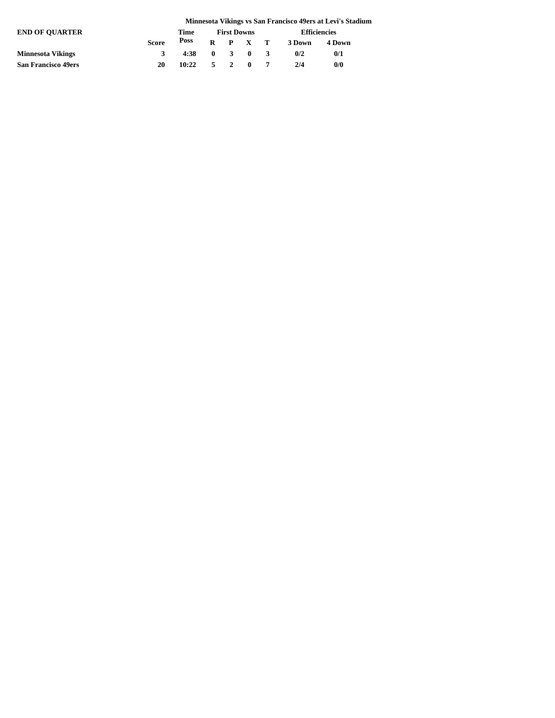|                            | Minnesota Vikings vs San Francisco 49ers at Levi's Stadium |       |  |                    |                 |  |                     |        |  |  |  |
|----------------------------|------------------------------------------------------------|-------|--|--------------------|-----------------|--|---------------------|--------|--|--|--|
| <b>END OF OUARTER</b>      |                                                            | Time  |  | <b>First Downs</b> |                 |  | <b>Efficiencies</b> |        |  |  |  |
|                            | <b>Score</b>                                               | Poss  |  |                    | $R$ $P$ $X$ $T$ |  | 3 Down              | 4 Down |  |  |  |
| <b>Minnesota Vikings</b>   | 3                                                          | 4:38  |  |                    | $0 \t3 \t0 \t3$ |  | 0/2                 | 0/1    |  |  |  |
| <b>San Francisco 49ers</b> | 20                                                         | 10:22 |  |                    | 5 2 0 7         |  | 2/4                 | 0/0    |  |  |  |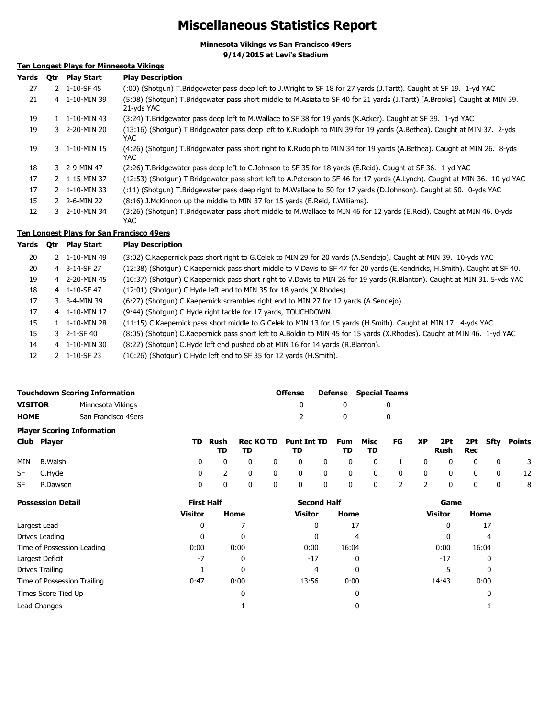## **Miscellaneous Statistics Report**

**Minnesota Vikings vs San Francisco 49ers**

**9/14/2015 at Levi's Stadium**

### **Ten Longest Plays for Minnesota Vikings**

| Yards | 0tr | <b>Play Start</b> | <b>Play Description</b>                                                                                                                  |
|-------|-----|-------------------|------------------------------------------------------------------------------------------------------------------------------------------|
| 27    |     | 2 1-10-SF 45      | (:00) (Shotgun) T.Bridgewater pass deep left to J.Wright to SF 18 for 27 yards (J.Tartt). Caught at SF 19. 1-yd YAC                      |
| 21    |     | 4 1-10-MIN 39     | (5:08) (Shotqun) T.Bridgewater pass short middle to M.Asiata to SF 40 for 21 yards (J.Tartt) [A.Brooks]. Caught at MIN 39.<br>21-vds YAC |
| 19    |     | 1 1-10-MIN 43     | (3:24) T.Bridgewater pass deep left to M.Wallace to SF 38 for 19 yards (K.Acker). Caught at SF 39. 1-yd YAC                              |
| 19    |     | 3 2-20-MIN 20     | (13:16) (Shotgun) T.Bridgewater pass deep left to K.Rudolph to MIN 39 for 19 yards (A.Bethea). Caught at MIN 37. 2-yds<br>YAC.           |
| 19    |     | 3 1-10-MIN 15     | (4:26) (Shotgun) T.Bridgewater pass short right to K.Rudolph to MIN 34 for 19 yards (A.Bethea). Caught at MIN 26. 8-yds<br>YAC.          |
| 18    |     | 3 2-9-MIN 47      | (2:26) T.Bridgewater pass deep left to C.Johnson to SF 35 for 18 yards (E.Reid). Caught at SF 36. 1-yd YAC                               |
| 17    |     | 2 1-15-MIN 37     | (12:53) (Shotgun) T.Bridgewater pass short left to A.Peterson to SF 46 for 17 yards (A.Lynch). Caught at MIN 36. 10-yd YAC               |
| 17    |     | 2 1-10-MIN 33     | (:11) (Shotgun) T.Bridgewater pass deep right to M.Wallace to 50 for 17 yards (D.Johnson). Caught at 50. 0-yds YAC                       |
| 15    |     | 2 2-6-MIN 22      | (8:16) J.McKinnon up the middle to MIN 37 for 15 yards (E.Reid, I.Williams).                                                             |
| 12    |     | 3 2-10-MIN 34     | (3:26) (Shotqun) T.Bridgewater pass short middle to M.Wallace to MIN 46 for 12 yards (E.Reid). Caught at MIN 46. 0-yds<br>YAC.           |

### **Ten Longest Plays for San Francisco 49ers**

| Yards | Otr | <b>Play Start</b>       | <b>Play Description</b>                                                                                                    |
|-------|-----|-------------------------|----------------------------------------------------------------------------------------------------------------------------|
| 20    |     | 2 1-10-MIN 49           | (3:02) C.Kaepernick pass short right to G.Celek to MIN 29 for 20 yards (A.Sendejo). Caught at MIN 39. 10-yds YAC           |
| 20    |     | 4 3-14-SF 27            | (12:38) (Shotgun) C.Kaepernick pass short middle to V.Davis to SF 47 for 20 yards (E.Kendricks, H.Smith). Caught at SF 40. |
| 19    |     | 4 2-20-MIN 45           | (10:37) (Shotgun) C.Kaepernick pass short right to V.Davis to MIN 26 for 19 yards (R.Blanton). Caught at MIN 31, 5-yds YAC |
| 18    |     | 4 1-10-SF 47            | (12:01) (Shotgun) C.Hyde left end to MIN 35 for 18 yards (X.Rhodes).                                                       |
| 17    |     | 3 3-4-MIN 39            | (6:27) (Shotgun) C.Kaepernick scrambles right end to MIN 27 for 12 yards (A.Sendejo).                                      |
| 17    |     | 4 1-10-MIN 17           | (9:44) (Shotgun) C. Hyde right tackle for 17 yards, TOUCHDOWN.                                                             |
| 15    |     | $1 - 1 - 10 - MIN$ 28   | (11:15) C.Kaepernick pass short middle to G.Celek to MIN 13 for 15 yards (H.Smith). Caught at MIN 17. 4-yds YAC            |
| 15    |     | $3 \quad 2 - 1 - SF 40$ | (8:05) (Shotgun) C.Kaepernick pass short left to A.Boldin to MIN 45 for 15 yards (X.Rhodes). Caught at MIN 46. 1-yd YAC    |
| 14    |     | 4 1-10-MIN 30           | (8:22) (Shotgun) C.Hyde left end pushed ob at MIN 16 for 14 yards (R.Blanton).                                             |
| 12    |     | 2 1-10-SF 23            | (10:26) (Shotgun) C.Hyde left end to SF 35 for 12 yards (H.Smith).                                                         |

|                | <b>Touchdown Scoring Information</b> | <b>Offense</b> |          | Defense Special Teams |
|----------------|--------------------------------------|----------------|----------|-----------------------|
| <b>VISITOR</b> | Minnesota Vikings                    |                |          |                       |
| <b>HOME</b>    | San Francisco 49ers                  | $\mathcal{L}$  | $\Omega$ |                       |
|                | <b>Player Scoring Information</b>    |                |          |                       |

| Club Player | TD. | TD. |  | TD Rush Rec KO TD Punt Int TD Fum Misc FG XP 2Pt 2Pt Sfty Points<br>TD |  | TD. | <b>TD</b> |  | Rush Rec |  |     |
|-------------|-----|-----|--|------------------------------------------------------------------------|--|-----|-----------|--|----------|--|-----|
| MIN B.Walsh |     |     |  | 0 0 0 0 0 0 0 0 1 0 0 0 0 0 3                                          |  |     |           |  |          |  |     |
| SF C.Hyde   |     |     |  | 0 2 0 0 0 0 0 0 0 0 0 0 12                                             |  |     |           |  |          |  |     |
| SF P.Dawson |     |     |  | 0 0 0 0 0 0 0 2 2 0 0 0 0                                              |  |     |           |  |          |  | - 8 |

| <b>Possession Detail</b>    | <b>First Half</b> |      | <b>Second Half</b> |       | Game           |       |
|-----------------------------|-------------------|------|--------------------|-------|----------------|-------|
|                             | <b>Visitor</b>    | Home | <b>Visitor</b>     | Home  | <b>Visitor</b> | Home  |
| Largest Lead                | 0                 |      | 0                  | 17    | 0              | 17    |
| Drives Leading              | 0                 | 0    | 0                  | 4     |                | 4     |
| Time of Possession Leading  | 0:00              | 0:00 | 0:00               | 16:04 | 0:00           | 16:04 |
| Largest Deficit             | $-7$              | 0    | $-17$              | 0     | $-17$          | 0     |
| Drives Trailing             |                   | 0    | 4                  | 0     |                | 0     |
| Time of Possession Trailing | 0:47              | 0:00 | 13:56              | 0:00  | 14:43          | 0:00  |
| Times Score Tied Up         |                   | 0    |                    | 0     |                | 0     |
| Lead Changes                |                   |      |                    | 0     |                |       |